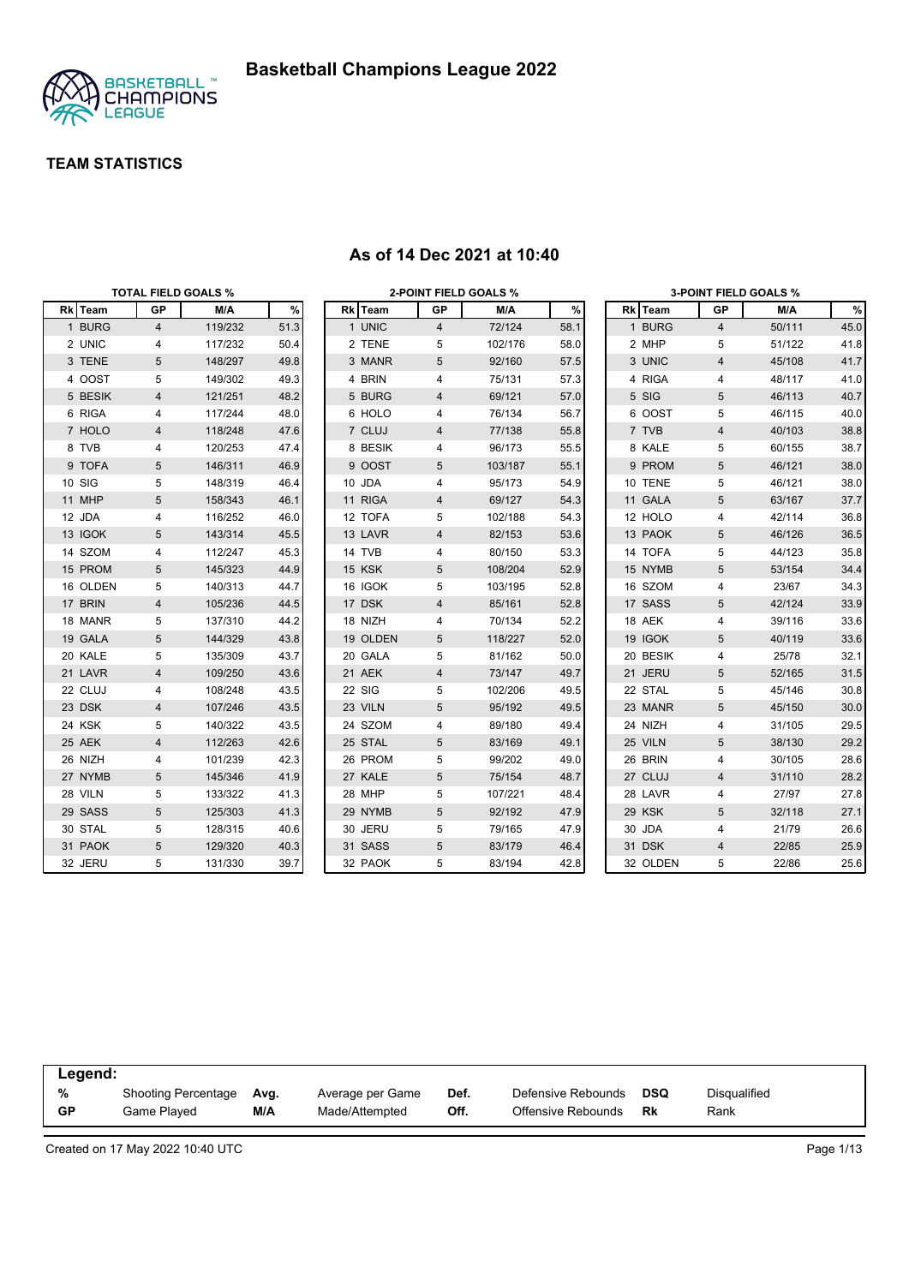

|          |                | <b>TOTAL FIELD GOALS %</b> |      |          |                | <b>2-POINT FIELD GOALS %</b> |      |          |                         | <b>3-POINT FIELD GOALS %</b> |      |
|----------|----------------|----------------------------|------|----------|----------------|------------------------------|------|----------|-------------------------|------------------------------|------|
| Rk Team  | GP             | M/A                        | $\%$ | Rk Team  | GP             | M/A                          | $\%$ | Rk Team  | GP                      | M/A                          | $\%$ |
| 1 BURG   | $\overline{4}$ | 119/232                    | 51.3 | 1 UNIC   | $\overline{4}$ | 72/124                       | 58.1 | 1 BURG   | 4                       | 50/111                       | 45.0 |
| 2 UNIC   | 4              | 117/232                    | 50.4 | 2 TENE   | 5              | 102/176                      | 58.0 | 2 MHP    | 5                       | 51/122                       | 41.8 |
| 3 TENE   | 5              | 148/297                    | 49.8 | 3 MANR   | 5              | 92/160                       | 57.5 | 3 UNIC   | 4                       | 45/108                       | 41.7 |
| 4 OOST   | 5              | 149/302                    | 49.3 | 4 BRIN   | 4              | 75/131                       | 57.3 | 4 RIGA   | 4                       | 48/117                       | 41.0 |
| 5 BESIK  | 4              | 121/251                    | 48.2 | 5 BURG   | 4              | 69/121                       | 57.0 | 5 SIG    | 5                       | 46/113                       | 40.7 |
| 6 RIGA   | 4              | 117/244                    | 48.0 | 6 HOLO   | 4              | 76/134                       | 56.7 | 6 OOST   | 5                       | 46/115                       | 40.0 |
| 7 HOLO   | 4              | 118/248                    | 47.6 | 7 CLUJ   | 4              | 77/138                       | 55.8 | 7 TVB    | $\overline{\mathbf{4}}$ | 40/103                       | 38.8 |
| 8 TVB    | 4              | 120/253                    | 47.4 | 8 BESIK  | 4              | 96/173                       | 55.5 | 8 KALE   | 5                       | 60/155                       | 38.7 |
| 9 TOFA   | 5              | 146/311                    | 46.9 | 9 OOST   | 5              | 103/187                      | 55.1 | 9 PROM   | 5                       | 46/121                       | 38.0 |
| 10 SIG   | 5              | 148/319                    | 46.4 | 10 JDA   | 4              | 95/173                       | 54.9 | 10 TENE  | 5                       | 46/121                       | 38.0 |
| 11 MHP   | $\sqrt{5}$     | 158/343                    | 46.1 | 11 RIGA  | 4              | 69/127                       | 54.3 | 11 GALA  | 5                       | 63/167                       | 37.7 |
| 12 JDA   | 4              | 116/252                    | 46.0 | 12 TOFA  | 5              | 102/188                      | 54.3 | 12 HOLO  | 4                       | 42/114                       | 36.8 |
| 13 IGOK  | 5              | 143/314                    | 45.5 | 13 LAVR  | 4              | 82/153                       | 53.6 | 13 PAOK  | 5                       | 46/126                       | 36.5 |
| 14 SZOM  | 4              | 112/247                    | 45.3 | 14 TVB   | 4              | 80/150                       | 53.3 | 14 TOFA  | 5                       | 44/123                       | 35.8 |
| 15 PROM  | 5              | 145/323                    | 44.9 | 15 KSK   | 5              | 108/204                      | 52.9 | 15 NYMB  | 5                       | 53/154                       | 34.4 |
| 16 OLDEN | 5              | 140/313                    | 44.7 | 16 IGOK  | 5              | 103/195                      | 52.8 | 16 SZOM  | 4                       | 23/67                        | 34.3 |
| 17 BRIN  | 4              | 105/236                    | 44.5 | 17 DSK   | 4              | 85/161                       | 52.8 | 17 SASS  | 5                       | 42/124                       | 33.9 |
| 18 MANR  | 5              | 137/310                    | 44.2 | 18 NIZH  | 4              | 70/134                       | 52.2 | 18 AEK   | 4                       | 39/116                       | 33.6 |
| 19 GALA  | 5              | 144/329                    | 43.8 | 19 OLDEN | 5              | 118/227                      | 52.0 | 19 IGOK  | 5                       | 40/119                       | 33.6 |
| 20 KALE  | 5              | 135/309                    | 43.7 | 20 GALA  | 5              | 81/162                       | 50.0 | 20 BESIK | 4                       | 25/78                        | 32.1 |
| 21 LAVR  | 4              | 109/250                    | 43.6 | 21 AEK   | 4              | 73/147                       | 49.7 | 21 JERU  | 5                       | 52/165                       | 31.5 |
| 22 CLUJ  | 4              | 108/248                    | 43.5 | 22 SIG   | 5              | 102/206                      | 49.5 | 22 STAL  | 5                       | 45/146                       | 30.8 |
| 23 DSK   | 4              | 107/246                    | 43.5 | 23 VILN  | 5              | 95/192                       | 49.5 | 23 MANR  | 5                       | 45/150                       | 30.0 |
| 24 KSK   | 5              | 140/322                    | 43.5 | 24 SZOM  | 4              | 89/180                       | 49.4 | 24 NIZH  | 4                       | 31/105                       | 29.5 |
| 25 AEK   | 4              | 112/263                    | 42.6 | 25 STAL  | 5              | 83/169                       | 49.1 | 25 VILN  | 5                       | 38/130                       | 29.2 |
| 26 NIZH  | 4              | 101/239                    | 42.3 | 26 PROM  | 5              | 99/202                       | 49.0 | 26 BRIN  | 4                       | 30/105                       | 28.6 |
| 27 NYMB  | 5              | 145/346                    | 41.9 | 27 KALE  | 5              | 75/154                       | 48.7 | 27 CLUJ  | $\overline{4}$          | 31/110                       | 28.2 |
| 28 VILN  | 5              | 133/322                    | 41.3 | 28 MHP   | 5              | 107/221                      | 48.4 | 28 LAVR  | 4                       | 27/97                        | 27.8 |
| 29 SASS  | 5              | 125/303                    | 41.3 | 29 NYMB  | 5              | 92/192                       | 47.9 | 29 KSK   | 5                       | 32/118                       | 27.1 |
| 30 STAL  | 5              | 128/315                    | 40.6 | 30 JERU  | 5              | 79/165                       | 47.9 | 30 JDA   | 4                       | 21/79                        | 26.6 |
| 31 PAOK  | 5              | 129/320                    | 40.3 | 31 SASS  | 5              | 83/179                       | 46.4 | 31 DSK   | 4                       | 22/85                        | 25.9 |
| 32 JERU  | 5              | 131/330                    | 39.7 | 32 PAOK  | 5              | 83/194                       | 42.8 | 32 OLDEN | 5                       | 22/86                        | 25.6 |

#### **As of 14 Dec 2021 at 10:40**

| Legend:   |                     |      |                  |      |                    |            |                     |  |
|-----------|---------------------|------|------------------|------|--------------------|------------|---------------------|--|
| %         | Shooting Percentage | Avg. | Average per Game | Def. | Defensive Rebounds | <b>DSQ</b> | <b>Disqualified</b> |  |
| <b>GP</b> | Game Played         | M/A  | Made/Attempted   | Off. | Offensive Rebounds | Rk         | Rank                |  |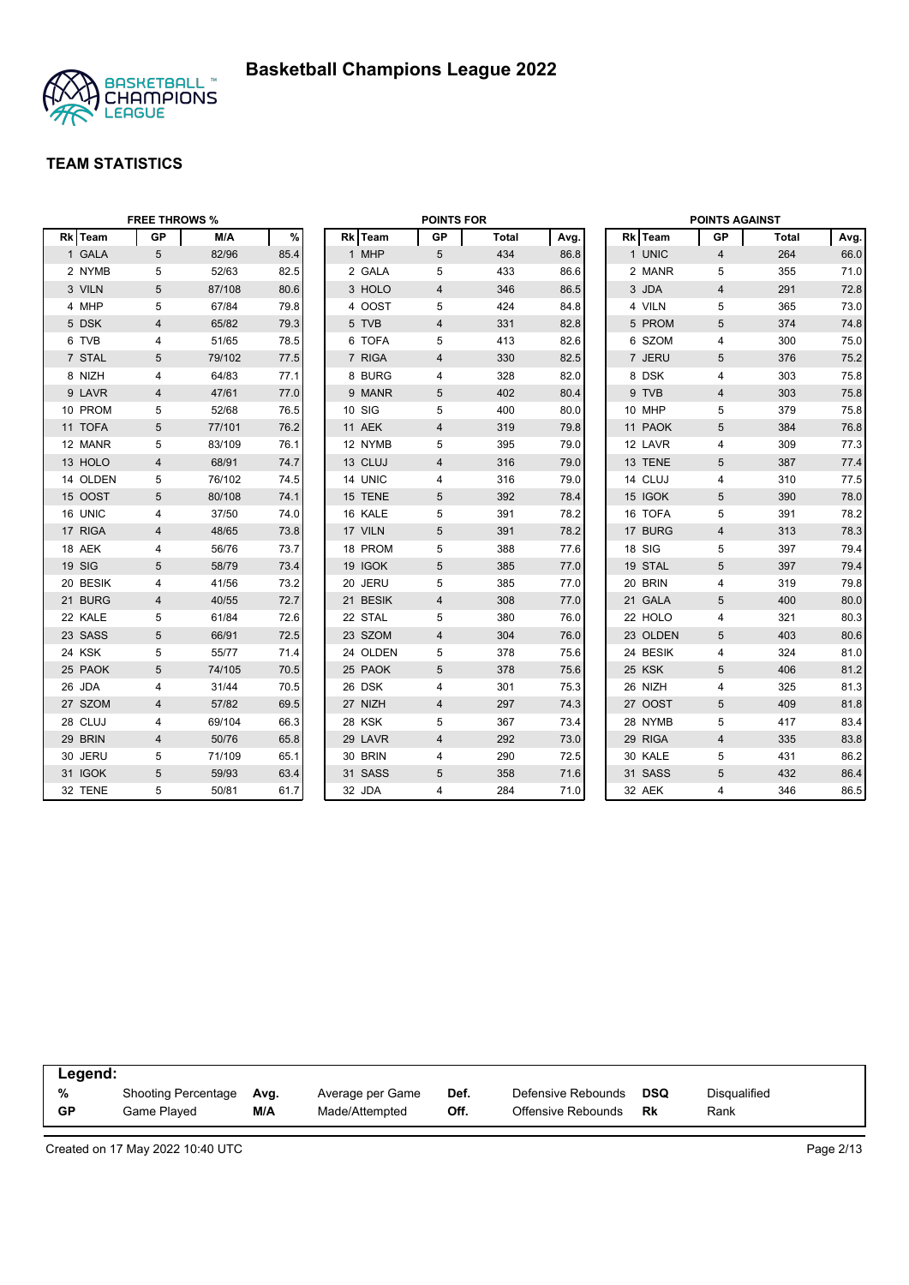

|          | <b>FREE THROWS %</b> |        |      |          | <b>POINTS FOR</b> |              |      |          | <b>POINTS AGAINST</b> |       |      |
|----------|----------------------|--------|------|----------|-------------------|--------------|------|----------|-----------------------|-------|------|
| Rk Team  | <b>GP</b>            | M/A    | $\%$ | Rk Team  | <b>GP</b>         | <b>Total</b> | Avg. | Rk Team  | GP                    | Total | Avg. |
| 1 GALA   | 5                    | 82/96  | 85.4 | 1 MHP    | 5                 | 434          | 86.8 | 1 UNIC   | $\overline{4}$        | 264   | 66.0 |
| 2 NYMB   | 5                    | 52/63  | 82.5 | 2 GALA   | 5                 | 433          | 86.6 | 2 MANR   | 5                     | 355   | 71.0 |
| 3 VILN   | 5                    | 87/108 | 80.6 | 3 HOLO   | 4                 | 346          | 86.5 | 3 JDA    | $\overline{4}$        | 291   | 72.8 |
| 4 MHP    | 5                    | 67/84  | 79.8 | 4 OOST   | 5                 | 424          | 84.8 | 4 VILN   | 5                     | 365   | 73.0 |
| 5 DSK    | $\overline{4}$       | 65/82  | 79.3 | 5 TVB    | 4                 | 331          | 82.8 | 5 PROM   | $5\phantom{.0}$       | 374   | 74.8 |
| 6 TVB    | 4                    | 51/65  | 78.5 | 6 TOFA   | 5                 | 413          | 82.6 | 6 SZOM   | 4                     | 300   | 75.0 |
| 7 STAL   | 5                    | 79/102 | 77.5 | 7 RIGA   | 4                 | 330          | 82.5 | 7 JERU   | $5\phantom{.0}$       | 376   | 75.2 |
| 8 NIZH   | 4                    | 64/83  | 77.1 | 8 BURG   | 4                 | 328          | 82.0 | 8 DSK    | 4                     | 303   | 75.8 |
| 9 LAVR   | 4                    | 47/61  | 77.0 | 9 MANR   | 5                 | 402          | 80.4 | 9 TVB    | $\overline{4}$        | 303   | 75.8 |
| 10 PROM  | 5                    | 52/68  | 76.5 | 10 SIG   | 5                 | 400          | 80.0 | 10 MHP   | 5                     | 379   | 75.8 |
| 11 TOFA  | 5                    | 77/101 | 76.2 | 11 AEK   | 4                 | 319          | 79.8 | 11 PAOK  | 5                     | 384   | 76.8 |
| 12 MANR  | 5                    | 83/109 | 76.1 | 12 NYMB  | 5                 | 395          | 79.0 | 12 LAVR  | $\overline{4}$        | 309   | 77.3 |
| 13 HOLO  | $\overline{4}$       | 68/91  | 74.7 | 13 CLUJ  | 4                 | 316          | 79.0 | 13 TENE  | $5\phantom{.0}$       | 387   | 77.4 |
| 14 OLDEN | 5                    | 76/102 | 74.5 | 14 UNIC  | 4                 | 316          | 79.0 | 14 CLUJ  | 4                     | 310   | 77.5 |
| 15 OOST  | $5\phantom{.0}$      | 80/108 | 74.1 | 15 TENE  | 5                 | 392          | 78.4 | 15 IGOK  | $5\phantom{.0}$       | 390   | 78.0 |
| 16 UNIC  | 4                    | 37/50  | 74.0 | 16 KALE  | 5                 | 391          | 78.2 | 16 TOFA  | 5                     | 391   | 78.2 |
| 17 RIGA  | $\overline{4}$       | 48/65  | 73.8 | 17 VILN  | 5                 | 391          | 78.2 | 17 BURG  | $\overline{4}$        | 313   | 78.3 |
| 18 AEK   | 4                    | 56/76  | 73.7 | 18 PROM  | 5                 | 388          | 77.6 | 18 SIG   | 5                     | 397   | 79.4 |
| 19 SIG   | 5                    | 58/79  | 73.4 | 19 IGOK  | 5                 | 385          | 77.0 | 19 STAL  | 5                     | 397   | 79.4 |
| 20 BESIK | 4                    | 41/56  | 73.2 | 20 JERU  | 5                 | 385          | 77.0 | 20 BRIN  | 4                     | 319   | 79.8 |
| 21 BURG  | 4                    | 40/55  | 72.7 | 21 BESIK | 4                 | 308          | 77.0 | 21 GALA  | 5                     | 400   | 80.0 |
| 22 KALE  | 5                    | 61/84  | 72.6 | 22 STAL  | 5                 | 380          | 76.0 | 22 HOLO  | 4                     | 321   | 80.3 |
| 23 SASS  | 5                    | 66/91  | 72.5 | 23 SZOM  | 4                 | 304          | 76.0 | 23 OLDEN | 5                     | 403   | 80.6 |
| 24 KSK   | 5                    | 55/77  | 71.4 | 24 OLDEN | 5                 | 378          | 75.6 | 24 BESIK | 4                     | 324   | 81.0 |
| 25 PAOK  | 5                    | 74/105 | 70.5 | 25 PAOK  | 5                 | 378          | 75.6 | 25 KSK   | $5\phantom{.0}$       | 406   | 81.2 |
| 26 JDA   | 4                    | 31/44  | 70.5 | 26 DSK   | 4                 | 301          | 75.3 | 26 NIZH  | 4                     | 325   | 81.3 |
| 27 SZOM  | $\overline{4}$       | 57/82  | 69.5 | 27 NIZH  | $\overline{4}$    | 297          | 74.3 | 27 OOST  | $\overline{5}$        | 409   | 81.8 |
| 28 CLUJ  | 4                    | 69/104 | 66.3 | 28 KSK   | 5                 | 367          | 73.4 | 28 NYMB  | 5                     | 417   | 83.4 |
| 29 BRIN  | 4                    | 50/76  | 65.8 | 29 LAVR  | 4                 | 292          | 73.0 | 29 RIGA  | $\overline{4}$        | 335   | 83.8 |
| 30 JERU  | 5                    | 71/109 | 65.1 | 30 BRIN  | 4                 | 290          | 72.5 | 30 KALE  | 5                     | 431   | 86.2 |
| 31 IGOK  | 5                    | 59/93  | 63.4 | 31 SASS  | 5                 | 358          | 71.6 | 31 SASS  | 5                     | 432   | 86.4 |
| 32 TENE  | 5                    | 50/81  | 61.7 | 32 JDA   | 4                 | 284          | 71.0 | 32 AEK   | 4                     | 346   | 86.5 |

| Legend:   |                     |      |                  |      |                    |            |              |
|-----------|---------------------|------|------------------|------|--------------------|------------|--------------|
| %         | Shooting Percentage | Ava. | Average per Game | Def. | Defensive Rebounds | <b>DSQ</b> | Disqualified |
| <b>GP</b> | Game Plaved         | M/A  | Made/Attempted   | Off. | Offensive Rebounds | Rk         | Rank         |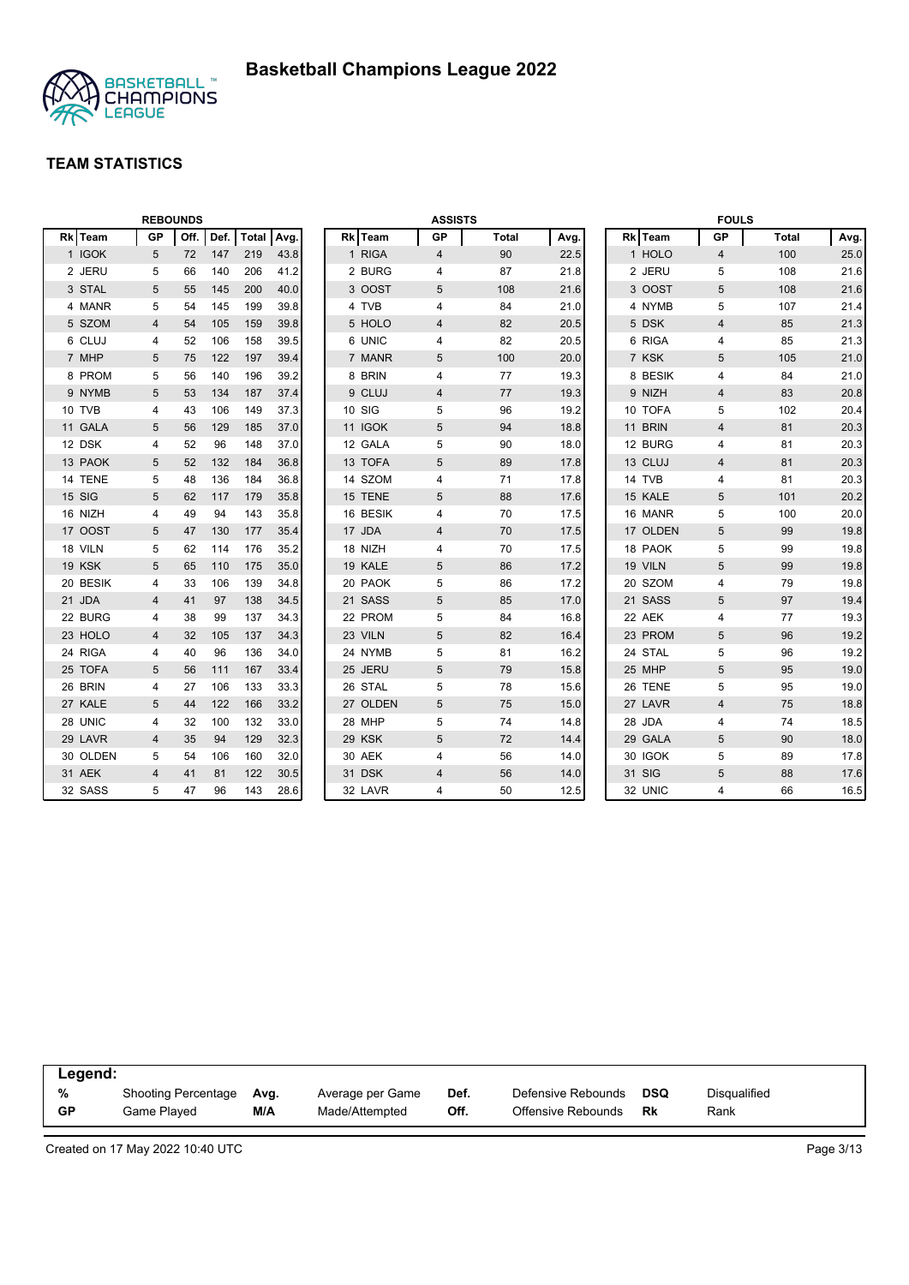

|          |    | <b>REBOUNDS</b> |      |            |      |          | <b>ASSISTS</b> |              |      |          |                | <b>FOULS</b> |      |
|----------|----|-----------------|------|------------|------|----------|----------------|--------------|------|----------|----------------|--------------|------|
| Rk Team  | GP | Off.            | Def. | Total Avg. |      | Rk Team  | GP             | <b>Total</b> | Avg. | Rk Team  | <b>GP</b>      | Total        | Avg. |
| 1 IGOK   | 5  | 72              | 147  | 219        | 43.8 | 1 RIGA   | $\overline{4}$ | 90           | 22.5 | 1 HOLO   | 4              | 100          | 25.0 |
| 2 JERU   | 5  | 66              | 140  | 206        | 41.2 | 2 BURG   | 4              | 87           | 21.8 | 2 JERU   | 5              | 108          | 21.6 |
| 3 STAL   | 5  | 55              | 145  | 200        | 40.0 | 3 OOST   | 5              | 108          | 21.6 | 3 OOST   | 5              | 108          | 21.6 |
| 4 MANR   | 5  | 54              | 145  | 199        | 39.8 | 4 TVB    | 4              | 84           | 21.0 | 4 NYMB   | 5              | 107          | 21.4 |
| 5 SZOM   | 4  | 54              | 105  | 159        | 39.8 | 5 HOLO   | 4              | 82           | 20.5 | 5 DSK    | 4              | 85           | 21.3 |
| 6 CLUJ   | 4  | 52              | 106  | 158        | 39.5 | 6 UNIC   | 4              | 82           | 20.5 | 6 RIGA   | 4              | 85           | 21.3 |
| 7 MHP    | 5  | 75              | 122  | 197        | 39.4 | 7 MANR   | 5              | 100          | 20.0 | 7 KSK    | 5              | 105          | 21.0 |
| 8 PROM   | 5  | 56              | 140  | 196        | 39.2 | 8 BRIN   | 4              | 77           | 19.3 | 8 BESIK  | $\overline{4}$ | 84           | 21.0 |
| 9 NYMB   | 5  | 53              | 134  | 187        | 37.4 | 9 CLUJ   | 4              | 77           | 19.3 | 9 NIZH   | 4              | 83           | 20.8 |
| 10 TVB   | 4  | 43              | 106  | 149        | 37.3 | 10 SIG   | 5              | 96           | 19.2 | 10 TOFA  | 5              | 102          | 20.4 |
| 11 GALA  | 5  | 56              | 129  | 185        | 37.0 | 11 IGOK  | 5              | 94           | 18.8 | 11 BRIN  | $\overline{4}$ | 81           | 20.3 |
| 12 DSK   | 4  | 52              | 96   | 148        | 37.0 | 12 GALA  | 5              | 90           | 18.0 | 12 BURG  | $\overline{4}$ | 81           | 20.3 |
| 13 PAOK  | 5  | 52              | 132  | 184        | 36.8 | 13 TOFA  | 5              | 89           | 17.8 | 13 CLUJ  | $\overline{4}$ | 81           | 20.3 |
| 14 TENE  | 5  | 48              | 136  | 184        | 36.8 | 14 SZOM  | 4              | 71           | 17.8 | 14 TVB   | $\overline{4}$ | 81           | 20.3 |
| 15 SIG   | 5  | 62              | 117  | 179        | 35.8 | 15 TENE  | 5              | 88           | 17.6 | 15 KALE  | 5              | 101          | 20.2 |
| 16 NIZH  | 4  | 49              | 94   | 143        | 35.8 | 16 BESIK | 4              | 70           | 17.5 | 16 MANR  | 5              | 100          | 20.0 |
| 17 OOST  | 5  | 47              | 130  | 177        | 35.4 | 17 JDA   | $\overline{4}$ | 70           | 17.5 | 17 OLDEN | 5              | 99           | 19.8 |
| 18 VILN  | 5  | 62              | 114  | 176        | 35.2 | 18 NIZH  | 4              | 70           | 17.5 | 18 PAOK  | 5              | 99           | 19.8 |
| 19 KSK   | 5  | 65              | 110  | 175        | 35.0 | 19 KALE  | 5              | 86           | 17.2 | 19 VILN  | 5              | 99           | 19.8 |
| 20 BESIK | 4  | 33              | 106  | 139        | 34.8 | 20 PAOK  | 5              | 86           | 17.2 | 20 SZOM  | 4              | 79           | 19.8 |
| 21 JDA   | 4  | 41              | 97   | 138        | 34.5 | 21 SASS  | 5              | 85           | 17.0 | 21 SASS  | 5              | 97           | 19.4 |
| 22 BURG  | 4  | 38              | 99   | 137        | 34.3 | 22 PROM  | 5              | 84           | 16.8 | 22 AEK   | 4              | 77           | 19.3 |
| 23 HOLO  | 4  | 32              | 105  | 137        | 34.3 | 23 VILN  | 5              | 82           | 16.4 | 23 PROM  | 5              | 96           | 19.2 |
| 24 RIGA  | 4  | 40              | 96   | 136        | 34.0 | 24 NYMB  | 5              | 81           | 16.2 | 24 STAL  | 5              | 96           | 19.2 |
| 25 TOFA  | 5  | 56              | 111  | 167        | 33.4 | 25 JERU  | 5              | 79           | 15.8 | 25 MHP   | 5              | 95           | 19.0 |
| 26 BRIN  | 4  | 27              | 106  | 133        | 33.3 | 26 STAL  | 5              | 78           | 15.6 | 26 TENE  | 5              | 95           | 19.0 |
| 27 KALE  | 5  | 44              | 122  | 166        | 33.2 | 27 OLDEN | 5              | 75           | 15.0 | 27 LAVR  | $\overline{4}$ | 75           | 18.8 |
| 28 UNIC  | 4  | 32              | 100  | 132        | 33.0 | 28 MHP   | 5              | 74           | 14.8 | 28 JDA   | $\overline{4}$ | 74           | 18.5 |
| 29 LAVR  | 4  | 35              | 94   | 129        | 32.3 | 29 KSK   | 5              | 72           | 14.4 | 29 GALA  | 5              | 90           | 18.0 |
| 30 OLDEN | 5  | 54              | 106  | 160        | 32.0 | 30 AEK   | 4              | 56           | 14.0 | 30 IGOK  | 5              | 89           | 17.8 |
| 31 AEK   | 4  | 41              | 81   | 122        | 30.5 | 31 DSK   | 4              | 56           | 14.0 | 31 SIG   | 5              | 88           | 17.6 |
| 32 SASS  | 5  | 47              | 96   | 143        | 28.6 | 32 LAVR  | 4              | 50           | 12.5 | 32 UNIC  | $\overline{4}$ | 66           | 16.5 |

| Legend: |                     |      |                  |      |                    |     |              |
|---------|---------------------|------|------------------|------|--------------------|-----|--------------|
| %       | Shooting Percentage | Ava. | Average per Game | Def. | Defensive Rebounds | DSQ | Disgualified |
| GP      | Game Plaved         | M/A  | Made/Attempted   | Off. | Offensive Rebounds | Rk  | Rank         |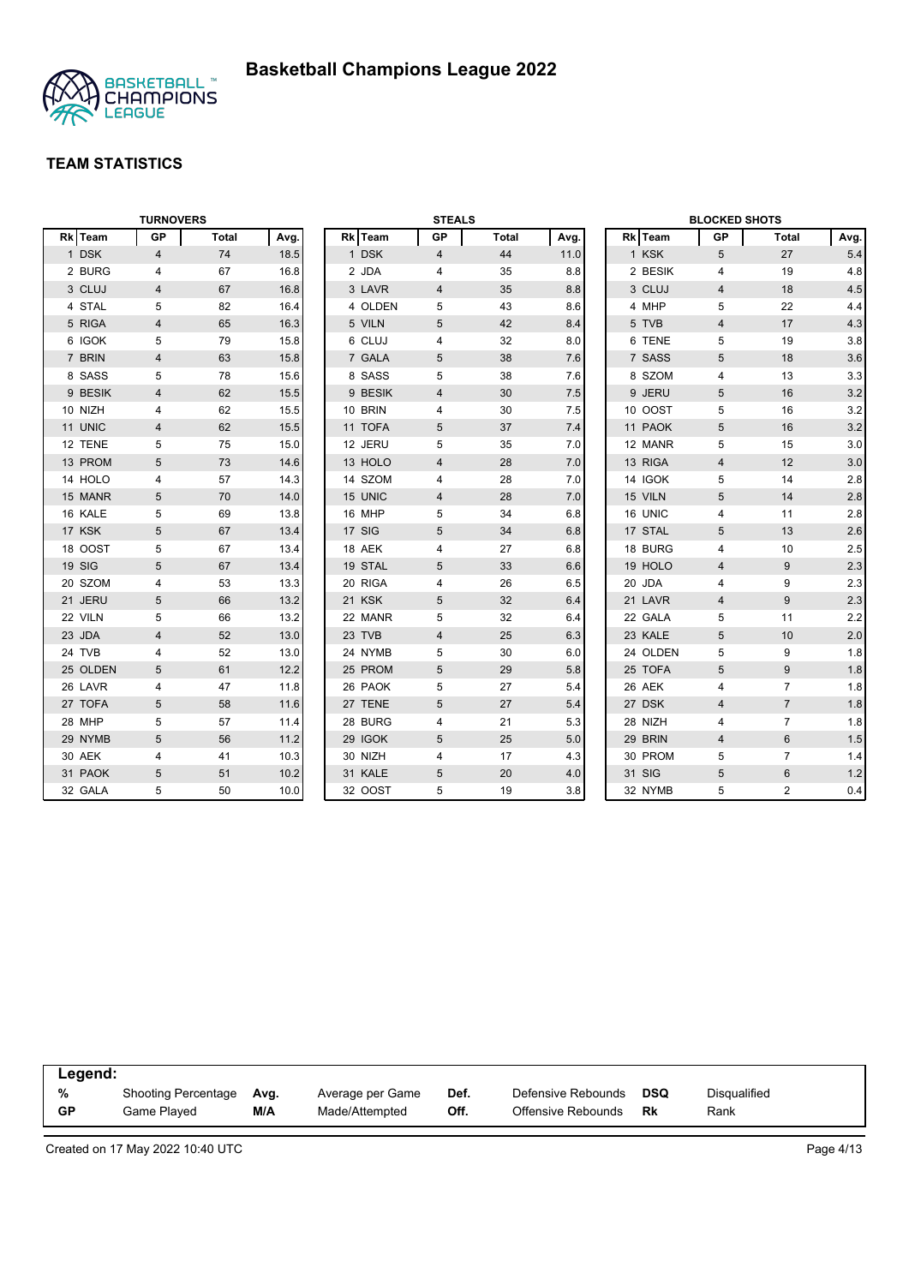

|          | <b>TURNOVERS</b> |              |      |         | <b>STEALS</b>  |              |      | <b>BLOCKED SHOTS</b><br>Rk Team<br>GP<br>Total<br>Avg. |                |                |         |
|----------|------------------|--------------|------|---------|----------------|--------------|------|--------------------------------------------------------|----------------|----------------|---------|
| Rk Team  | <b>GP</b>        | <b>Total</b> | Avg. | Rk Team | GP             | <b>Total</b> | Avg. |                                                        |                |                |         |
| 1 DSK    | 4                | 74           | 18.5 | 1 DSK   | $\overline{4}$ | 44           | 11.0 | 1 KSK                                                  | 5              | 27             | 5.4     |
| 2 BURG   | 4                | 67           | 16.8 | 2 JDA   | 4              | 35           | 8.8  | 2 BESIK                                                | 4              | 19             | 4.8     |
| 3 CLUJ   | 4                | 67           | 16.8 | 3 LAVR  | 4              | 35           | 8.8  | 3 CLUJ                                                 | $\overline{4}$ | 18             | 4.5     |
| 4 STAL   | 5                | 82           | 16.4 | 4 OLDEN | 5              | 43           | 8.6  | 4 MHP                                                  | 5              | 22             | 4.4     |
| 5 RIGA   | 4                | 65           | 16.3 | 5 VILN  | 5              | 42           | 8.4  | 5 TVB                                                  | $\overline{4}$ | 17             | 4.3     |
| 6 IGOK   | 5                | 79           | 15.8 | 6 CLUJ  | 4              | 32           | 8.0  | 6 TENE                                                 | 5              | 19             | 3.8     |
| 7 BRIN   | 4                | 63           | 15.8 | 7 GALA  | 5              | 38           | 7.6  | 7 SASS                                                 | 5              | 18             | 3.6     |
| 8 SASS   | 5                | 78           | 15.6 | 8 SASS  | 5              | 38           | 7.6  | 8 SZOM                                                 | $\overline{4}$ | 13             | 3.3     |
| 9 BESIK  | 4                | 62           | 15.5 | 9 BESIK | 4              | 30           | 7.5  | 9 JERU                                                 | 5              | 16             | 3.2     |
| 10 NIZH  | 4                | 62           | 15.5 | 10 BRIN | 4              | 30           | 7.5  | 10 OOST                                                | 5              | 16             | 3.2     |
| 11 UNIC  | 4                | 62           | 15.5 | 11 TOFA | 5              | 37           | 7.4  | 11 PAOK                                                | 5              | 16             | $3.2\,$ |
| 12 TENE  | 5                | 75           | 15.0 | 12 JERU | 5              | 35           | 7.0  | 12 MANR                                                | 5              | 15             | 3.0     |
| 13 PROM  | 5                | 73           | 14.6 | 13 HOLO | 4              | 28           | 7.0  | 13 RIGA                                                | $\overline{4}$ | 12             | 3.0     |
| 14 HOLO  | 4                | 57           | 14.3 | 14 SZOM | 4              | 28           | 7.0  | 14 IGOK                                                | 5              | 14             | 2.8     |
| 15 MANR  | 5                | 70           | 14.0 | 15 UNIC | 4              | 28           | 7.0  | 15 VILN                                                | 5              | 14             | $2.8\,$ |
| 16 KALE  | 5                | 69           | 13.8 | 16 MHP  | 5              | 34           | 6.8  | 16 UNIC                                                | $\overline{4}$ | 11             | 2.8     |
| 17 KSK   | 5                | 67           | 13.4 | 17 SIG  | 5              | 34           | 6.8  | 17 STAL                                                | 5              | 13             | 2.6     |
| 18 OOST  | 5                | 67           | 13.4 | 18 AEK  | 4              | 27           | 6.8  | 18 BURG                                                | $\overline{4}$ | 10             | 2.5     |
| 19 SIG   | 5                | 67           | 13.4 | 19 STAL | 5              | 33           | 6.6  | 19 HOLO                                                | $\overline{4}$ | 9              | 2.3     |
| 20 SZOM  | 4                | 53           | 13.3 | 20 RIGA | 4              | 26           | 6.5  | 20 JDA                                                 | 4              | 9              | 2.3     |
| 21 JERU  | 5                | 66           | 13.2 | 21 KSK  | 5              | 32           | 6.4  | 21 LAVR                                                | $\overline{4}$ | 9              | 2.3     |
| 22 VILN  | 5                | 66           | 13.2 | 22 MANR | 5              | 32           | 6.4  | 22 GALA                                                | 5              | 11             | 2.2     |
| 23 JDA   | 4                | 52           | 13.0 | 23 TVB  | $\overline{4}$ | 25           | 6.3  | 23 KALE                                                | 5              | 10             | 2.0     |
| 24 TVB   | 4                | 52           | 13.0 | 24 NYMB | 5              | 30           | 6.0  | 24 OLDEN                                               | 5              | 9              | 1.8     |
| 25 OLDEN | 5                | 61           | 12.2 | 25 PROM | 5              | 29           | 5.8  | 25 TOFA                                                | 5              | 9              | 1.8     |
| 26 LAVR  | 4                | 47           | 11.8 | 26 PAOK | 5              | 27           | 5.4  | 26 AEK                                                 | $\overline{4}$ | $\overline{7}$ | 1.8     |
| 27 TOFA  | 5                | 58           | 11.6 | 27 TENE | 5              | 27           | 5.4  | 27 DSK                                                 | $\overline{4}$ | $\overline{7}$ | 1.8     |
| 28 MHP   | 5                | 57           | 11.4 | 28 BURG | 4              | 21           | 5.3  | 28 NIZH                                                | 4              | $\overline{7}$ | 1.8     |
| 29 NYMB  | 5                | 56           | 11.2 | 29 IGOK | 5              | 25           | 5.0  | 29 BRIN                                                | $\overline{4}$ | 6              | 1.5     |
| 30 AEK   | 4                | 41           | 10.3 | 30 NIZH | 4              | 17           | 4.3  | 30 PROM                                                | 5              | $\overline{7}$ | 1.4     |
| 31 PAOK  | 5                | 51           | 10.2 | 31 KALE | 5              | 20           | 4.0  | 31 SIG                                                 | 5              | 6              | 1.2     |
| 32 GALA  | 5                | 50           | 10.0 | 32 OOST | 5              | 19           | 3.8  | 32 NYMB                                                | 5              | $\overline{2}$ | 0.4     |

| Legend: |                     |      |                  |      |                    |     |              |
|---------|---------------------|------|------------------|------|--------------------|-----|--------------|
| %       | Shooting Percentage | Ava. | Average per Game | Def. | Defensive Rebounds | DSQ | Disqualified |
| GP      | Game Played         | M/A  | Made/Attempted   | Off. | Offensive Rebounds | Rk  | Rank         |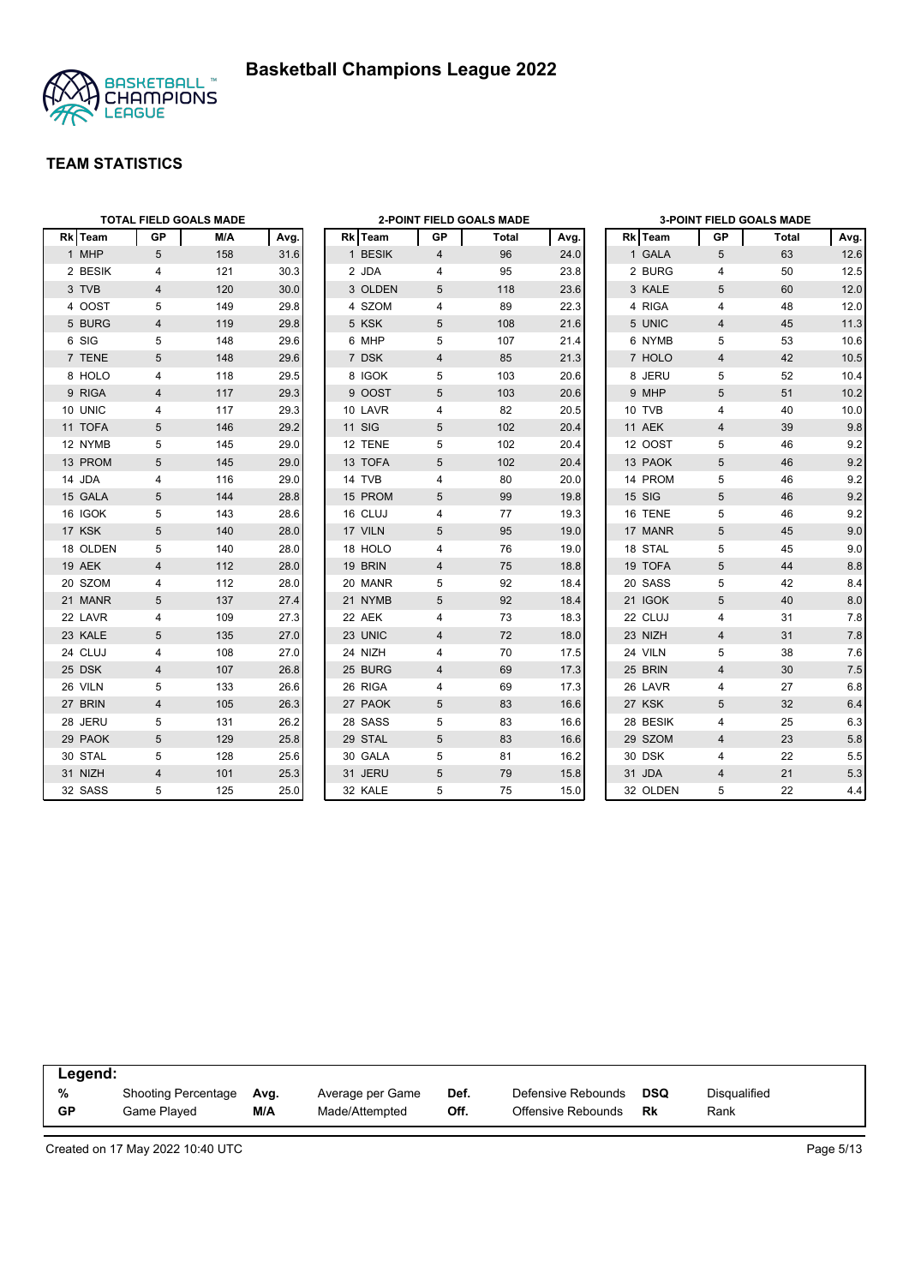



|          |                | <b>TOTAL FIELD GOALS MADE</b> |      | <b>2-POINT FIELD GOALS MADE</b> |               |                | 3-POINT FIELD GOALS MADE |      |  |          |                         |       |       |
|----------|----------------|-------------------------------|------|---------------------------------|---------------|----------------|--------------------------|------|--|----------|-------------------------|-------|-------|
| Rk Team  | <b>GP</b>      | M/A                           | Avg. |                                 | Rk Team       | GP             | <b>Total</b>             | Avg. |  | Rk Team  | GP                      | Total | Avg.  |
| 1 MHP    | 5              | 158                           | 31.6 |                                 | 1 BESIK       | 4              | 96                       | 24.0 |  | 1 GALA   | 5                       | 63    | 12.6  |
| 2 BESIK  | 4              | 121                           | 30.3 |                                 | 2 JDA         | 4              | 95                       | 23.8 |  | 2 BURG   | 4                       | 50    | 12.5  |
| 3 TVB    | 4              | 120                           | 30.0 |                                 | 3 OLDEN       | 5              | 118                      | 23.6 |  | 3 KALE   | 5                       | 60    | 12.0  |
| 4 OOST   | 5              | 149                           | 29.8 |                                 | 4 SZOM        | 4              | 89                       | 22.3 |  | 4 RIGA   | 4                       | 48    | 12.0  |
| 5 BURG   | 4              | 119                           | 29.8 |                                 | 5 KSK         | 5              | 108                      | 21.6 |  | 5 UNIC   | $\overline{4}$          | 45    | 11.3  |
| 6 SIG    | 5              | 148                           | 29.6 |                                 | 6 MHP         | 5              | 107                      | 21.4 |  | 6 NYMB   | 5                       | 53    | 10.6  |
| 7 TENE   | 5              | 148                           | 29.6 |                                 | 7 DSK         | $\overline{4}$ | 85                       | 21.3 |  | 7 HOLO   | $\overline{4}$          | 42    | 10.5  |
| 8 HOLO   | 4              | 118                           | 29.5 |                                 | 8 IGOK        | 5              | 103                      | 20.6 |  | 8 JERU   | 5                       | 52    | 10.4  |
| 9 RIGA   | 4              | 117                           | 29.3 |                                 | 9 OOST        | 5              | 103                      | 20.6 |  | 9 MHP    | 5                       | 51    | 10.2  |
| 10 UNIC  | 4              | 117                           | 29.3 |                                 | 10 LAVR       | 4              | 82                       | 20.5 |  | 10 TVB   | 4                       | 40    | 10.0  |
| 11 TOFA  | 5              | 146                           | 29.2 |                                 | <b>11 SIG</b> | 5              | 102                      | 20.4 |  | 11 AEK   | $\overline{\mathbf{4}}$ | 39    | 9.8   |
| 12 NYMB  | 5              | 145                           | 29.0 |                                 | 12 TENE       | 5              | 102                      | 20.4 |  | 12 OOST  | 5                       | 46    | 9.2   |
| 13 PROM  | 5              | 145                           | 29.0 |                                 | 13 TOFA       | 5              | 102                      | 20.4 |  | 13 PAOK  | 5                       | 46    | 9.2   |
| 14 JDA   | 4              | 116                           | 29.0 |                                 | 14 TVB        | 4              | 80                       | 20.0 |  | 14 PROM  | 5                       | 46    | 9.2   |
| 15 GALA  | 5              | 144                           | 28.8 |                                 | 15 PROM       | 5              | 99                       | 19.8 |  | 15 SIG   | 5                       | 46    | 9.2   |
| 16 IGOK  | 5              | 143                           | 28.6 |                                 | 16 CLUJ       | 4              | 77                       | 19.3 |  | 16 TENE  | 5                       | 46    | 9.2   |
| 17 KSK   | 5              | 140                           | 28.0 |                                 | 17 VILN       | 5              | 95                       | 19.0 |  | 17 MANR  | 5                       | 45    | 9.0   |
| 18 OLDEN | 5              | 140                           | 28.0 |                                 | 18 HOLO       | 4              | 76                       | 19.0 |  | 18 STAL  | 5                       | 45    | 9.0   |
| 19 AEK   | $\overline{4}$ | 112                           | 28.0 |                                 | 19 BRIN       | 4              | 75                       | 18.8 |  | 19 TOFA  | 5                       | 44    | 8.8   |
| 20 SZOM  | 4              | 112                           | 28.0 |                                 | 20 MANR       | 5              | 92                       | 18.4 |  | 20 SASS  | 5                       | 42    | 8.4   |
| 21 MANR  | 5              | 137                           | 27.4 |                                 | 21 NYMB       | 5              | 92                       | 18.4 |  | 21 IGOK  | 5                       | 40    | 8.0   |
| 22 LAVR  | 4              | 109                           | 27.3 |                                 | 22 AEK        | 4              | 73                       | 18.3 |  | 22 CLUJ  | $\overline{4}$          | 31    | 7.8   |
| 23 KALE  | $\sqrt{5}$     | 135                           | 27.0 |                                 | 23 UNIC       | 4              | 72                       | 18.0 |  | 23 NIZH  | $\overline{\mathbf{4}}$ | 31    | 7.8   |
| 24 CLUJ  | 4              | 108                           | 27.0 |                                 | 24 NIZH       | 4              | 70                       | 17.5 |  | 24 VILN  | 5                       | 38    | 7.6   |
| 25 DSK   | 4              | 107                           | 26.8 |                                 | 25 BURG       | 4              | 69                       | 17.3 |  | 25 BRIN  | $\overline{4}$          | 30    | $7.5$ |
| 26 VILN  | 5              | 133                           | 26.6 |                                 | 26 RIGA       | 4              | 69                       | 17.3 |  | 26 LAVR  | 4                       | 27    | 6.8   |
| 27 BRIN  | $\overline{4}$ | 105                           | 26.3 |                                 | 27 PAOK       | 5              | 83                       | 16.6 |  | 27 KSK   | $5\phantom{.0}$         | 32    | 6.4   |
| 28 JERU  | 5              | 131                           | 26.2 |                                 | 28 SASS       | 5              | 83                       | 16.6 |  | 28 BESIK | 4                       | 25    | 6.3   |
| 29 PAOK  | 5              | 129                           | 25.8 |                                 | 29 STAL       | 5              | 83                       | 16.6 |  | 29 SZOM  | $\overline{4}$          | 23    | 5.8   |
| 30 STAL  | 5              | 128                           | 25.6 |                                 | 30 GALA       | 5              | 81                       | 16.2 |  | 30 DSK   | 4                       | 22    | 5.5   |
| 31 NIZH  | $\overline{4}$ | 101                           | 25.3 |                                 | 31 JERU       | 5              | 79                       | 15.8 |  | 31 JDA   | $\overline{4}$          | 21    | 5.3   |
| 32 SASS  | 5              | 125                           | 25.0 |                                 | 32 KALE       | 5              | 75                       | 15.0 |  | 32 OLDEN | 5                       | 22    | 4.4   |

| Legend:   |                            |      |                  |      |                    |            |                     |
|-----------|----------------------------|------|------------------|------|--------------------|------------|---------------------|
| %         | <b>Shooting Percentage</b> | Avg. | Average per Game | Def. | Defensive Rebounds | <b>DSQ</b> | <b>Disqualified</b> |
| <b>GP</b> | Game Played                | M/A  | Made/Attempted   | Off. | Offensive Rebounds | Rk         | Rank                |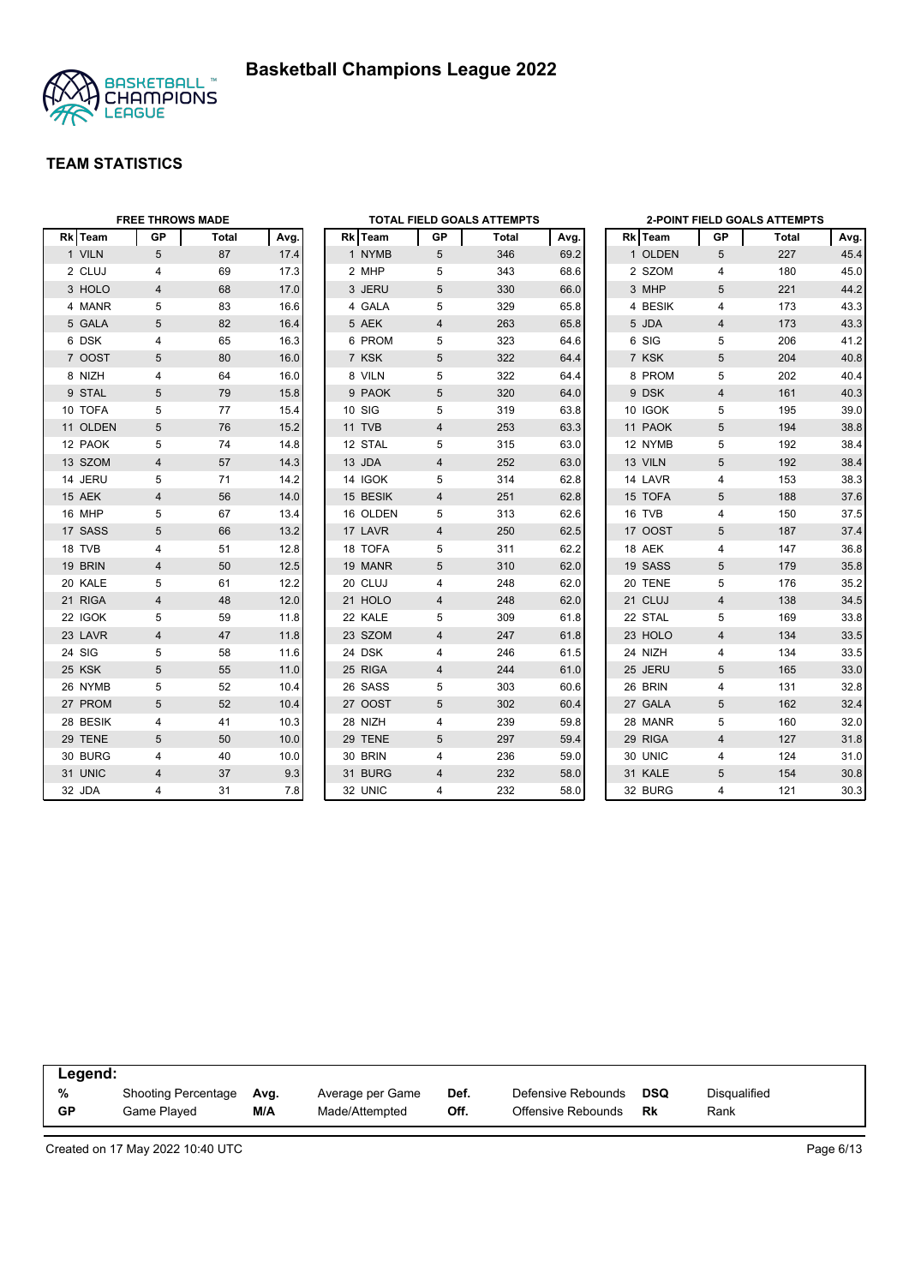



|          | <b>FREE THROWS MADE</b> |       |      | <b>TOTAL FIELD GOALS ATTEMPTS</b> |          |                |       | <b>2-POINT FIELD GOALS ATTEMPTS</b> |  |         |                |       |      |
|----------|-------------------------|-------|------|-----------------------------------|----------|----------------|-------|-------------------------------------|--|---------|----------------|-------|------|
| Rk Team  | <b>GP</b>               | Total | Avg. |                                   | Rk Team  | GP             | Total | Avg.                                |  | Rk Team | <b>GP</b>      | Total | Avg. |
| 1 VILN   | 5                       | 87    | 17.4 |                                   | 1 NYMB   | 5              | 346   | 69.2                                |  | 1 OLDEN | 5              | 227   | 45.4 |
| 2 CLUJ   | 4                       | 69    | 17.3 |                                   | 2 MHP    | 5              | 343   | 68.6                                |  | 2 SZOM  | $\overline{4}$ | 180   | 45.0 |
| 3 HOLO   | 4                       | 68    | 17.0 |                                   | 3 JERU   | 5              | 330   | 66.0                                |  | 3 MHP   | 5              | 221   | 44.2 |
| 4 MANR   | 5                       | 83    | 16.6 |                                   | 4 GALA   | 5              | 329   | 65.8                                |  | 4 BESIK | $\overline{4}$ | 173   | 43.3 |
| 5 GALA   | 5                       | 82    | 16.4 |                                   | 5 AEK    | $\overline{4}$ | 263   | 65.8                                |  | 5 JDA   | $\overline{4}$ | 173   | 43.3 |
| 6 DSK    | 4                       | 65    | 16.3 |                                   | 6 PROM   | 5              | 323   | 64.6                                |  | 6 SIG   | 5              | 206   | 41.2 |
| 7 OOST   | 5                       | 80    | 16.0 |                                   | 7 KSK    | 5              | 322   | 64.4                                |  | 7 KSK   | 5              | 204   | 40.8 |
| 8 NIZH   | 4                       | 64    | 16.0 |                                   | 8 VILN   | 5              | 322   | 64.4                                |  | 8 PROM  | 5              | 202   | 40.4 |
| 9 STAL   | 5                       | 79    | 15.8 |                                   | 9 PAOK   | 5              | 320   | 64.0                                |  | 9 DSK   | $\overline{4}$ | 161   | 40.3 |
| 10 TOFA  | 5                       | 77    | 15.4 |                                   | 10 SIG   | 5              | 319   | 63.8                                |  | 10 IGOK | 5              | 195   | 39.0 |
| 11 OLDEN | 5                       | 76    | 15.2 |                                   | 11 TVB   | $\overline{4}$ | 253   | 63.3                                |  | 11 PAOK | 5              | 194   | 38.8 |
| 12 PAOK  | 5                       | 74    | 14.8 |                                   | 12 STAL  | 5              | 315   | 63.0                                |  | 12 NYMB | 5              | 192   | 38.4 |
| 13 SZOM  | $\overline{4}$          | 57    | 14.3 |                                   | 13 JDA   | 4              | 252   | 63.0                                |  | 13 VILN | 5              | 192   | 38.4 |
| 14 JERU  | 5                       | 71    | 14.2 |                                   | 14 IGOK  | 5              | 314   | 62.8                                |  | 14 LAVR | $\overline{4}$ | 153   | 38.3 |
| 15 AEK   | $\overline{4}$          | 56    | 14.0 |                                   | 15 BESIK | 4              | 251   | 62.8                                |  | 15 TOFA | 5              | 188   | 37.6 |
| 16 MHP   | 5                       | 67    | 13.4 |                                   | 16 OLDEN | 5              | 313   | 62.6                                |  | 16 TVB  | $\overline{4}$ | 150   | 37.5 |
| 17 SASS  | 5                       | 66    | 13.2 |                                   | 17 LAVR  | $\overline{4}$ | 250   | 62.5                                |  | 17 OOST | 5              | 187   | 37.4 |
| 18 TVB   | 4                       | 51    | 12.8 |                                   | 18 TOFA  | 5              | 311   | 62.2                                |  | 18 AEK  | $\overline{4}$ | 147   | 36.8 |
| 19 BRIN  | 4                       | 50    | 12.5 |                                   | 19 MANR  | 5              | 310   | 62.0                                |  | 19 SASS | 5              | 179   | 35.8 |
| 20 KALE  | 5                       | 61    | 12.2 |                                   | 20 CLUJ  | 4              | 248   | 62.0                                |  | 20 TENE | 5              | 176   | 35.2 |
| 21 RIGA  | $\overline{4}$          | 48    | 12.0 |                                   | 21 HOLO  | $\overline{4}$ | 248   | 62.0                                |  | 21 CLUJ | $\overline{4}$ | 138   | 34.5 |
| 22 IGOK  | 5                       | 59    | 11.8 |                                   | 22 KALE  | 5              | 309   | 61.8                                |  | 22 STAL | 5              | 169   | 33.8 |
| 23 LAVR  | $\overline{4}$          | 47    | 11.8 |                                   | 23 SZOM  | $\overline{4}$ | 247   | 61.8                                |  | 23 HOLO | $\overline{4}$ | 134   | 33.5 |
| 24 SIG   | 5                       | 58    | 11.6 |                                   | 24 DSK   | 4              | 246   | 61.5                                |  | 24 NIZH | 4              | 134   | 33.5 |
| 25 KSK   | 5                       | 55    | 11.0 |                                   | 25 RIGA  | $\overline{4}$ | 244   | 61.0                                |  | 25 JERU | 5              | 165   | 33.0 |
| 26 NYMB  | 5                       | 52    | 10.4 |                                   | 26 SASS  | 5              | 303   | 60.6                                |  | 26 BRIN | $\overline{4}$ | 131   | 32.8 |
| 27 PROM  | 5                       | 52    | 10.4 |                                   | 27 OOST  | 5              | 302   | 60.4                                |  | 27 GALA | 5              | 162   | 32.4 |
| 28 BESIK | 4                       | 41    | 10.3 |                                   | 28 NIZH  | 4              | 239   | 59.8                                |  | 28 MANR | 5              | 160   | 32.0 |
| 29 TENE  | 5                       | 50    | 10.0 |                                   | 29 TENE  | 5              | 297   | 59.4                                |  | 29 RIGA | $\overline{4}$ | 127   | 31.8 |
| 30 BURG  | 4                       | 40    | 10.0 |                                   | 30 BRIN  | 4              | 236   | 59.0                                |  | 30 UNIC | 4              | 124   | 31.0 |
| 31 UNIC  | $\overline{4}$          | 37    | 9.3  |                                   | 31 BURG  | 4              | 232   | 58.0                                |  | 31 KALE | 5              | 154   | 30.8 |
| 32 JDA   | 4                       | 31    | 7.8  |                                   | 32 UNIC  | 4              | 232   | 58.0                                |  | 32 BURG | 4              | 121   | 30.3 |

| Legend:   |                     |      |                  |      |                    |            |                     |  |
|-----------|---------------------|------|------------------|------|--------------------|------------|---------------------|--|
| %         | Shooting Percentage | Avg. | Average per Game | Def. | Defensive Rebounds | <b>DSQ</b> | <b>Disqualified</b> |  |
| <b>GP</b> | Game Played         | M/A  | Made/Attempted   | Off. | Offensive Rebounds | Rk         | Rank                |  |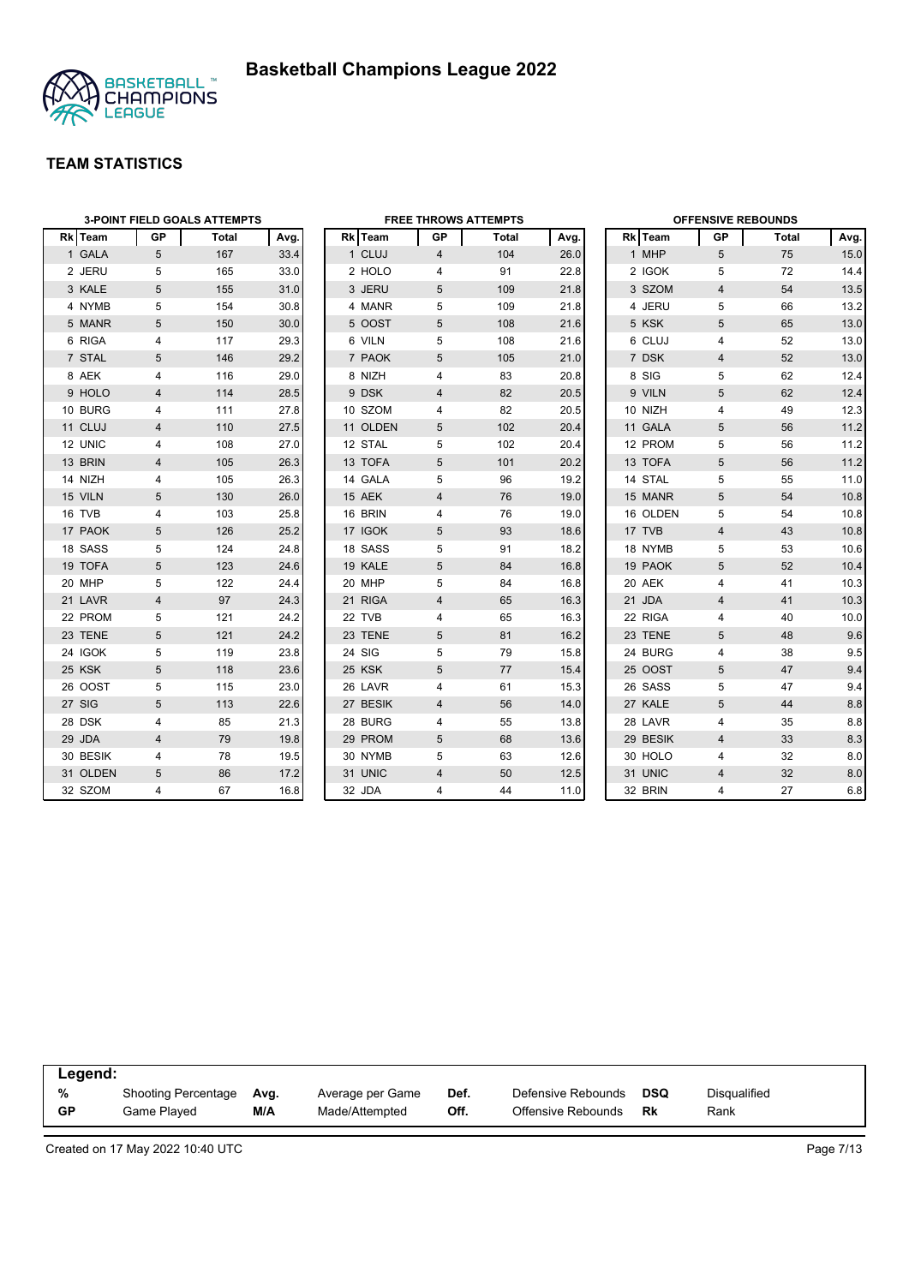

|          |                | <b>3-POINT FIELD GOALS ATTEMPTS</b> |      |          |                | <b>FREE THROWS ATTEMPTS</b> |      |          | <b>OFFENSIVE REBOUNDS</b> |              |      |
|----------|----------------|-------------------------------------|------|----------|----------------|-----------------------------|------|----------|---------------------------|--------------|------|
| Rk Team  | GP             | Total                               | Avg. | Rk Team  | GP             | Total                       | Avg. | Rk Team  | GP                        | <b>Total</b> | Avg. |
| 1 GALA   | 5              | 167                                 | 33.4 | 1 CLUJ   | $\overline{4}$ | 104                         | 26.0 | 1 MHP    | 5                         | 75           | 15.0 |
| 2 JERU   | 5              | 165                                 | 33.0 | 2 HOLO   | 4              | 91                          | 22.8 | 2 IGOK   | 5                         | 72           | 14.4 |
| 3 KALE   | 5              | 155                                 | 31.0 | 3 JERU   | 5              | 109                         | 21.8 | 3 SZOM   | $\overline{4}$            | 54           | 13.5 |
| 4 NYMB   | 5              | 154                                 | 30.8 | 4 MANR   | 5              | 109                         | 21.8 | 4 JERU   | 5                         | 66           | 13.2 |
| 5 MANR   | 5              | 150                                 | 30.0 | 5 OOST   | 5              | 108                         | 21.6 | 5 KSK    | 5                         | 65           | 13.0 |
| 6 RIGA   | 4              | 117                                 | 29.3 | 6 VILN   | 5              | 108                         | 21.6 | 6 CLUJ   | 4                         | 52           | 13.0 |
| 7 STAL   | 5              | 146                                 | 29.2 | 7 PAOK   | 5              | 105                         | 21.0 | 7 DSK    | $\overline{4}$            | 52           | 13.0 |
| 8 AEK    | 4              | 116                                 | 29.0 | 8 NIZH   | 4              | 83                          | 20.8 | 8 SIG    | 5                         | 62           | 12.4 |
| 9 HOLO   | 4              | 114                                 | 28.5 | 9 DSK    | 4              | 82                          | 20.5 | 9 VILN   | 5                         | 62           | 12.4 |
| 10 BURG  | 4              | 111                                 | 27.8 | 10 SZOM  | 4              | 82                          | 20.5 | 10 NIZH  | 4                         | 49           | 12.3 |
| 11 CLUJ  | 4              | 110                                 | 27.5 | 11 OLDEN | 5              | 102                         | 20.4 | 11 GALA  | 5                         | 56           | 11.2 |
| 12 UNIC  | 4              | 108                                 | 27.0 | 12 STAL  | 5              | 102                         | 20.4 | 12 PROM  | 5                         | 56           | 11.2 |
| 13 BRIN  | 4              | 105                                 | 26.3 | 13 TOFA  | 5              | 101                         | 20.2 | 13 TOFA  | 5                         | 56           | 11.2 |
| 14 NIZH  | 4              | 105                                 | 26.3 | 14 GALA  | 5              | 96                          | 19.2 | 14 STAL  | 5                         | 55           | 11.0 |
| 15 VILN  | 5              | 130                                 | 26.0 | 15 AEK   | $\overline{4}$ | 76                          | 19.0 | 15 MANR  | 5                         | 54           | 10.8 |
| 16 TVB   | 4              | 103                                 | 25.8 | 16 BRIN  | 4              | 76                          | 19.0 | 16 OLDEN | 5                         | 54           | 10.8 |
| 17 PAOK  | 5              | 126                                 | 25.2 | 17 IGOK  | 5              | 93                          | 18.6 | 17 TVB   | $\overline{4}$            | 43           | 10.8 |
| 18 SASS  | 5              | 124                                 | 24.8 | 18 SASS  | 5              | 91                          | 18.2 | 18 NYMB  | 5                         | 53           | 10.6 |
| 19 TOFA  | 5              | 123                                 | 24.6 | 19 KALE  | 5              | 84                          | 16.8 | 19 PAOK  | 5                         | 52           | 10.4 |
| 20 MHP   | 5              | 122                                 | 24.4 | 20 MHP   | 5              | 84                          | 16.8 | 20 AEK   | 4                         | 41           | 10.3 |
| 21 LAVR  | $\overline{4}$ | 97                                  | 24.3 | 21 RIGA  | $\overline{4}$ | 65                          | 16.3 | 21 JDA   | $\overline{4}$            | 41           | 10.3 |
| 22 PROM  | 5              | 121                                 | 24.2 | 22 TVB   | 4              | 65                          | 16.3 | 22 RIGA  | 4                         | 40           | 10.0 |
| 23 TENE  | 5              | 121                                 | 24.2 | 23 TENE  | 5              | 81                          | 16.2 | 23 TENE  | 5                         | 48           | 9.6  |
| 24 IGOK  | 5              | 119                                 | 23.8 | 24 SIG   | 5              | 79                          | 15.8 | 24 BURG  | 4                         | 38           | 9.5  |
| 25 KSK   | 5              | 118                                 | 23.6 | 25 KSK   | 5              | 77                          | 15.4 | 25 OOST  | 5                         | 47           | 9.4  |
| 26 OOST  | 5              | 115                                 | 23.0 | 26 LAVR  | 4              | 61                          | 15.3 | 26 SASS  | 5                         | 47           | 9.4  |
| 27 SIG   | 5              | 113                                 | 22.6 | 27 BESIK | 4              | 56                          | 14.0 | 27 KALE  | 5                         | 44           | 8.8  |
| 28 DSK   | 4              | 85                                  | 21.3 | 28 BURG  | 4              | 55                          | 13.8 | 28 LAVR  | $\overline{4}$            | 35           | 8.8  |
| 29 JDA   | 4              | 79                                  | 19.8 | 29 PROM  | 5              | 68                          | 13.6 | 29 BESIK | $\overline{4}$            | 33           | 8.3  |
| 30 BESIK | 4              | 78                                  | 19.5 | 30 NYMB  | 5              | 63                          | 12.6 | 30 HOLO  | $\overline{4}$            | 32           | 8.0  |
| 31 OLDEN | 5              | 86                                  | 17.2 | 31 UNIC  | $\overline{4}$ | 50                          | 12.5 | 31 UNIC  | $\overline{4}$            | 32           | 8.0  |
| 32 SZOM  | $\overline{4}$ | 67                                  | 16.8 | 32 JDA   | 4              | 44                          | 11.0 | 32 BRIN  | 4                         | 27           | 6.8  |

| Legend:   |                            |      |                  |      |                    |            |              |  |
|-----------|----------------------------|------|------------------|------|--------------------|------------|--------------|--|
| %         | <b>Shooting Percentage</b> | Ava. | Average per Game | Def. | Defensive Rebounds | <b>DSQ</b> | Disgualified |  |
| <b>GP</b> | Game Played                | M/A  | Made/Attempted   | Off. | Offensive Rebounds | Rk         | Rank         |  |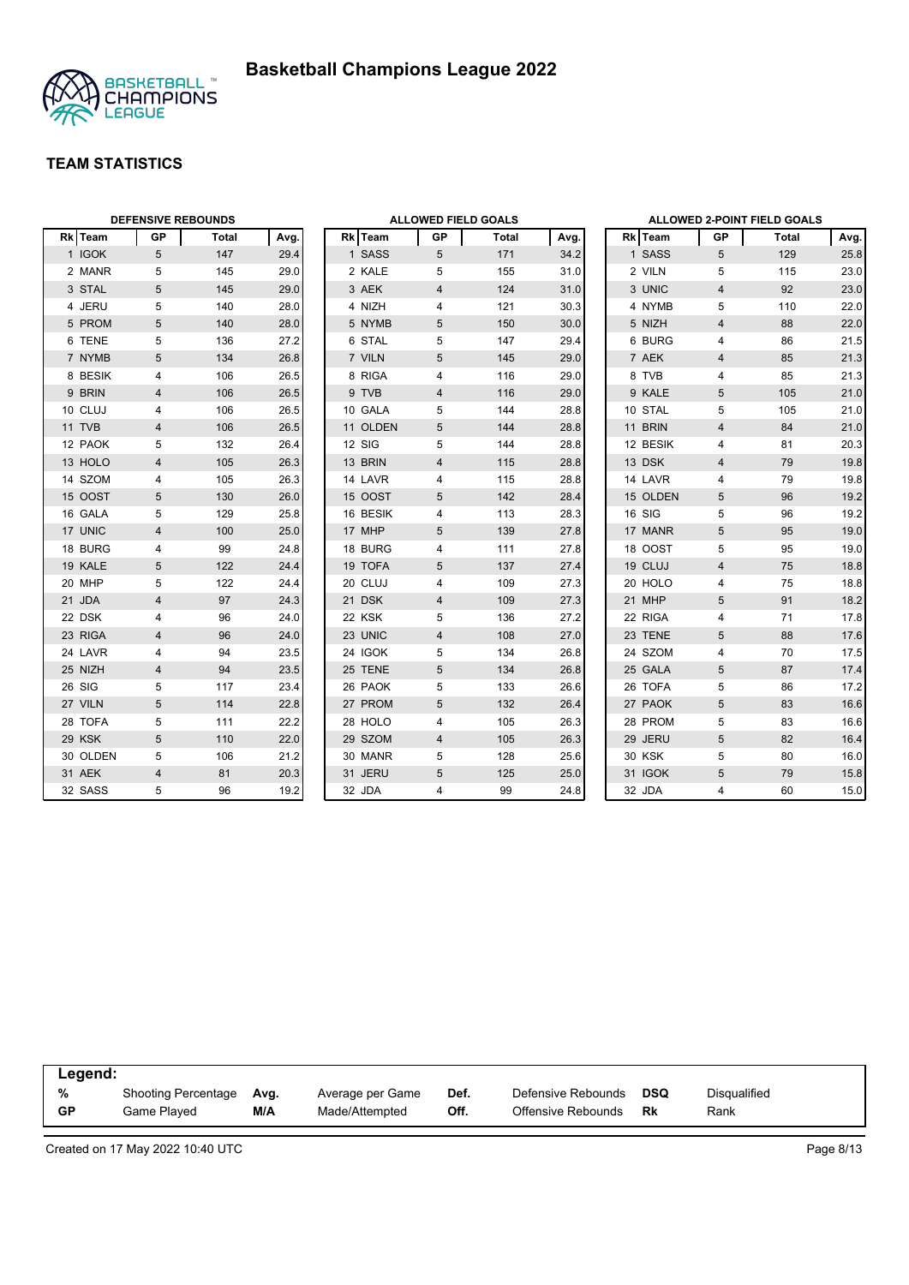



|          | <b>DEFENSIVE REBOUNDS</b> |       |      |          | <b>ALLOWED FIELD GOALS</b> |       |      |               |                 | ALLOWED 2-POINT FIELD GOALS |        |
|----------|---------------------------|-------|------|----------|----------------------------|-------|------|---------------|-----------------|-----------------------------|--------|
| Rk Team  | <b>GP</b>                 | Total | Avg. | Rk Team  | GP                         | Total | Avg. | Rk Team       | GP              | Total                       | Avg.   |
| 1 IGOK   | $5\overline{)}$           | 147   | 29.4 | 1 SASS   | 5                          | 171   | 34.2 | 1 SASS        | 5               | 129                         | 25.8   |
| 2 MANR   | 5                         | 145   | 29.0 | 2 KALE   | 5                          | 155   | 31.0 | 2 VILN        | 5               | 115                         | 23.0   |
| 3 STAL   | 5                         | 145   | 29.0 | 3 AEK    | $\overline{4}$             | 124   | 31.0 | 3 UNIC        | $\overline{4}$  | 92                          | 23.0   |
| 4 JERU   | 5                         | 140   | 28.0 | 4 NIZH   | 4                          | 121   | 30.3 | 4 NYMB        | 5               | 110                         | 22.0   |
| 5 PROM   | 5                         | 140   | 28.0 | 5 NYMB   | 5                          | 150   | 30.0 | 5 NIZH        | $\overline{4}$  | 88                          | 22.0   |
| 6 TENE   | 5                         | 136   | 27.2 | 6 STAL   | 5                          | 147   | 29.4 | 6 BURG        | 4               | 86                          | 21.5   |
| 7 NYMB   | 5                         | 134   | 26.8 | 7 VILN   | 5                          | 145   | 29.0 | 7 AEK         | $\overline{4}$  | 85                          | 21.3   |
| 8 BESIK  | 4                         | 106   | 26.5 | 8 RIGA   | 4                          | 116   | 29.0 | 8 TVB         | 4               | 85                          | 21.3   |
| 9 BRIN   | 4                         | 106   | 26.5 | 9 TVB    | 4                          | 116   | 29.0 | 9 KALE        | 5               | 105                         | 21.0   |
| 10 CLUJ  | 4                         | 106   | 26.5 | 10 GALA  | 5                          | 144   | 28.8 | 10 STAL       | 5               | 105                         | 21.0   |
| 11 TVB   | 4                         | 106   | 26.5 | 11 OLDEN | 5                          | 144   | 28.8 | 11 BRIN       | $\overline{4}$  | 84                          | 21.0   |
| 12 PAOK  | 5                         | 132   | 26.4 | 12 SIG   | 5                          | 144   | 28.8 | 12 BESIK      | 4               | 81                          | 20.3   |
| 13 HOLO  | $\overline{4}$            | 105   | 26.3 | 13 BRIN  | 4                          | 115   | 28.8 | 13 DSK        | $\overline{4}$  | 79                          | 19.8   |
| 14 SZOM  | 4                         | 105   | 26.3 | 14 LAVR  | 4                          | 115   | 28.8 | 14 LAVR       | 4               | 79                          | 19.8   |
| 15 OOST  | 5                         | 130   | 26.0 | 15 OOST  | 5                          | 142   | 28.4 | 15 OLDEN      | 5               | 96                          | 19.2   |
| 16 GALA  | 5                         | 129   | 25.8 | 16 BESIK | 4                          | 113   | 28.3 | 16 SIG        | 5               | 96                          | 19.2   |
| 17 UNIC  | $\overline{\mathbf{4}}$   | 100   | 25.0 | 17 MHP   | 5                          | 139   | 27.8 | 17 MANR       | 5               | 95                          | 19.0   |
| 18 BURG  | $\overline{4}$            | 99    | 24.8 | 18 BURG  | 4                          | 111   | 27.8 | 18 OOST       | 5               | 95                          | 19.0   |
| 19 KALE  | 5                         | 122   | 24.4 | 19 TOFA  | 5                          | 137   | 27.4 | 19 CLUJ       | $\overline{4}$  | 75                          | 18.8   |
| 20 MHP   | 5                         | 122   | 24.4 | 20 CLUJ  | 4                          | 109   | 27.3 | 20 HOLO       | 4               | 75                          | 18.8   |
| 21 JDA   | $\overline{\mathbf{4}}$   | 97    | 24.3 | 21 DSK   | 4                          | 109   | 27.3 | 21 MHP        | 5               | 91                          | 18.2   |
| 22 DSK   | 4                         | 96    | 24.0 | 22 KSK   | 5                          | 136   | 27.2 | 22 RIGA       | 4               | 71                          | 17.8   |
| 23 RIGA  | 4                         | 96    | 24.0 | 23 UNIC  | $\overline{4}$             | 108   | 27.0 | 23 TENE       | 5               | 88                          | 17.6   |
| 24 LAVR  | 4                         | 94    | 23.5 | 24 IGOK  | 5                          | 134   | 26.8 | 24 SZOM       | $\overline{4}$  | 70                          | 17.5   |
| 25 NIZH  | 4                         | 94    | 23.5 | 25 TENE  | 5                          | 134   | 26.8 | 25 GALA       | 5               | 87                          | 17.4   |
| 26 SIG   | 5                         | 117   | 23.4 | 26 PAOK  | 5                          | 133   | 26.6 | 26 TOFA       | 5               | 86                          | 17.2   |
| 27 VILN  | 5                         | 114   | 22.8 | 27 PROM  | 5                          | 132   | 26.4 | 27 PAOK       | $5\phantom{.0}$ | 83                          | 16.6   |
| 28 TOFA  | 5                         | 111   | 22.2 | 28 HOLO  | 4                          | 105   | 26.3 | 28 PROM       | 5               | 83                          | 16.6   |
| 29 KSK   | 5                         | 110   | 22.0 | 29 SZOM  | 4                          | 105   | 26.3 | 29 JERU       | 5               | 82                          | 16.4   |
| 30 OLDEN | 5                         | 106   | 21.2 | 30 MANR  | 5                          | 128   | 25.6 | <b>30 KSK</b> | 5               | 80                          | 16.0   |
| 31 AEK   | 4                         | 81    | 20.3 | 31 JERU  | 5                          | 125   | 25.0 | 31 IGOK       | 5               | 79                          | 15.8   |
| 32 SASS  | 5                         | 96    | 19.2 | 32 JDA   | 4                          | 99    | 24.8 | 32 JDA        | $\overline{4}$  | 60                          | $15.0$ |

| Legend:   |                     |      |                  |      |                    |     |              |  |
|-----------|---------------------|------|------------------|------|--------------------|-----|--------------|--|
| %         | Shooting Percentage | Avg. | Average per Game | Def. | Defensive Rebounds | DSQ | Disgualified |  |
| <b>GP</b> | Game Played         | M/A  | Made/Attempted   | Off. | Offensive Rebounds | Rk  | Rank         |  |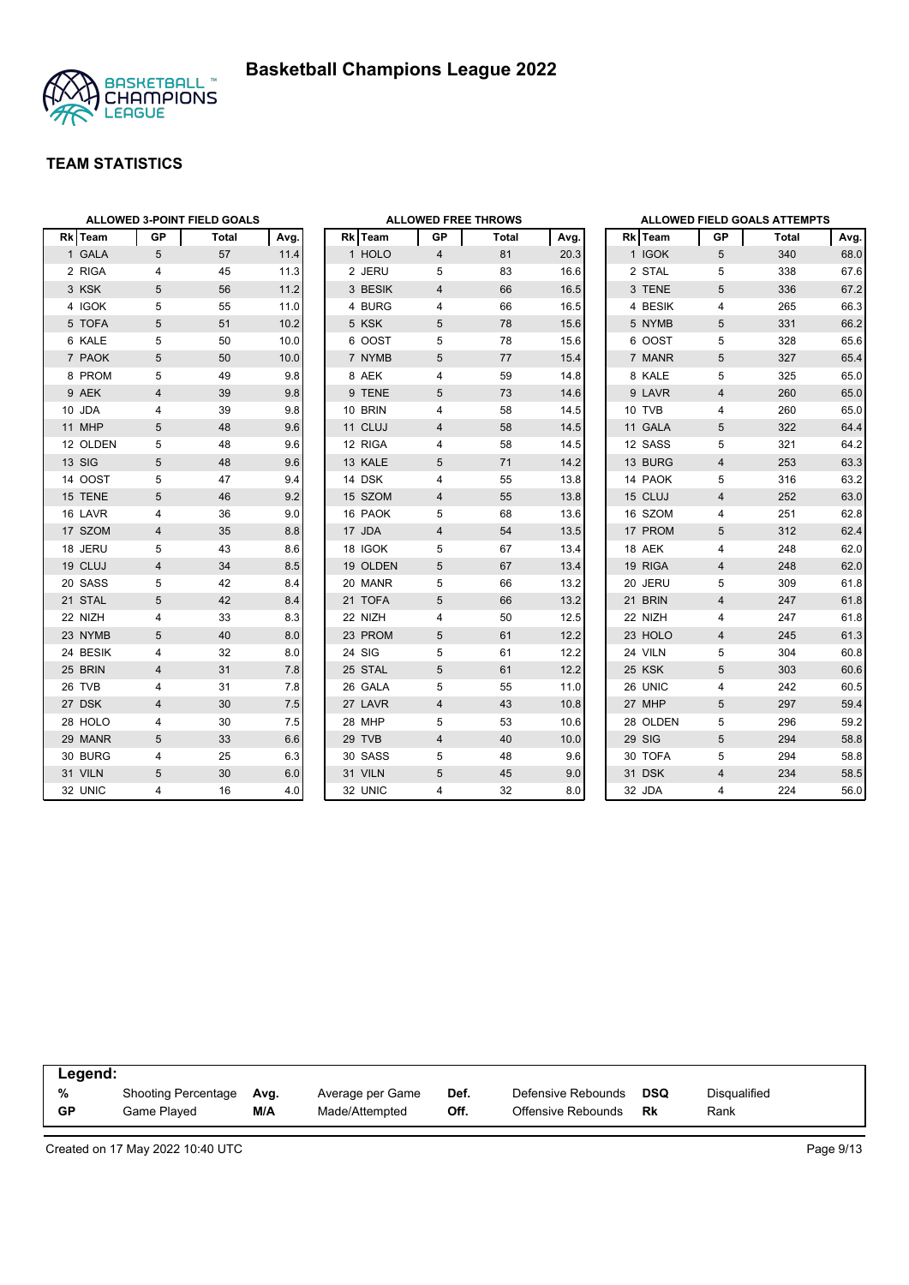

|                |                | <b>ALLOWED 3-POINT FIELD GOALS</b> |      |          |                | <b>ALLOWED FREE THROWS</b> |      |                |                         | <b>ALLOWED FIELD GOALS ATTEMPTS</b> |      |
|----------------|----------------|------------------------------------|------|----------|----------------|----------------------------|------|----------------|-------------------------|-------------------------------------|------|
| <b>Rk</b> Team | GP             | Total                              | Avg. | Rk Team  | GP             | Total                      | Avg. | <b>Rk</b> Team | GP                      | Total                               | Avg. |
| 1 GALA         | 5              | 57                                 | 11.4 | 1 HOLO   | $\overline{4}$ | 81                         | 20.3 | 1 IGOK         | 5                       | 340                                 | 68.0 |
| 2 RIGA         | 4              | 45                                 | 11.3 | 2 JERU   | 5              | 83                         | 16.6 | 2 STAL         | 5                       | 338                                 | 67.6 |
| 3 KSK          | 5              | 56                                 | 11.2 | 3 BESIK  | $\overline{4}$ | 66                         | 16.5 | 3 TENE         | 5                       | 336                                 | 67.2 |
| 4 IGOK         | 5              | 55                                 | 11.0 | 4 BURG   | 4              | 66                         | 16.5 | 4 BESIK        | 4                       | 265                                 | 66.3 |
| 5 TOFA         | 5              | 51                                 | 10.2 | 5 KSK    | 5              | 78                         | 15.6 | 5 NYMB         | 5                       | 331                                 | 66.2 |
| 6 KALE         | 5              | 50                                 | 10.0 | 6 OOST   | 5              | 78                         | 15.6 | 6 OOST         | 5                       | 328                                 | 65.6 |
| 7 PAOK         | 5              | 50                                 | 10.0 | 7 NYMB   | 5              | 77                         | 15.4 | 7 MANR         | 5                       | 327                                 | 65.4 |
| 8 PROM         | 5              | 49                                 | 9.8  | 8 AEK    | 4              | 59                         | 14.8 | 8 KALE         | 5                       | 325                                 | 65.0 |
| 9 AEK          | $\overline{4}$ | 39                                 | 9.8  | 9 TENE   | 5              | 73                         | 14.6 | 9 LAVR         | $\overline{4}$          | 260                                 | 65.0 |
| 10 JDA         | 4              | 39                                 | 9.8  | 10 BRIN  | 4              | 58                         | 14.5 | 10 TVB         | 4                       | 260                                 | 65.0 |
| 11 MHP         | 5              | 48                                 | 9.6  | 11 CLUJ  | 4              | 58                         | 14.5 | 11 GALA        | 5                       | 322                                 | 64.4 |
| 12 OLDEN       | 5              | 48                                 | 9.6  | 12 RIGA  | 4              | 58                         | 14.5 | 12 SASS        | 5                       | 321                                 | 64.2 |
| 13 SIG         | 5              | 48                                 | 9.6  | 13 KALE  | 5              | 71                         | 14.2 | 13 BURG        | $\overline{\mathbf{4}}$ | 253                                 | 63.3 |
| 14 OOST        | 5              | 47                                 | 9.4  | 14 DSK   | 4              | 55                         | 13.8 | 14 PAOK        | 5                       | 316                                 | 63.2 |
| 15 TENE        | 5              | 46                                 | 9.2  | 15 SZOM  | $\overline{4}$ | 55                         | 13.8 | 15 CLUJ        | $\overline{4}$          | 252                                 | 63.0 |
| 16 LAVR        | 4              | 36                                 | 9.0  | 16 PAOK  | 5              | 68                         | 13.6 | 16 SZOM        | $\overline{4}$          | 251                                 | 62.8 |
| 17 SZOM        | $\overline{4}$ | 35                                 | 8.8  | 17 JDA   | $\overline{4}$ | 54                         | 13.5 | 17 PROM        | 5                       | 312                                 | 62.4 |
| 18 JERU        | 5              | 43                                 | 8.6  | 18 IGOK  | 5              | 67                         | 13.4 | 18 AEK         | 4                       | 248                                 | 62.0 |
| 19 CLUJ        | 4              | 34                                 | 8.5  | 19 OLDEN | 5              | 67                         | 13.4 | 19 RIGA        | $\overline{4}$          | 248                                 | 62.0 |
| 20 SASS        | 5              | 42                                 | 8.4  | 20 MANR  | 5              | 66                         | 13.2 | 20 JERU        | 5                       | 309                                 | 61.8 |
| 21 STAL        | 5              | 42                                 | 8.4  | 21 TOFA  | 5              | 66                         | 13.2 | 21 BRIN        | $\overline{4}$          | 247                                 | 61.8 |
| 22 NIZH        | 4              | 33                                 | 8.3  | 22 NIZH  | 4              | 50                         | 12.5 | 22 NIZH        | $\overline{4}$          | 247                                 | 61.8 |
| 23 NYMB        | 5              | 40                                 | 8.0  | 23 PROM  | 5              | 61                         | 12.2 | 23 HOLO        | $\overline{4}$          | 245                                 | 61.3 |
| 24 BESIK       | 4              | 32                                 | 8.0  | 24 SIG   | 5              | 61                         | 12.2 | 24 VILN        | 5                       | 304                                 | 60.8 |
| 25 BRIN        | $\overline{4}$ | 31                                 | 7.8  | 25 STAL  | 5              | 61                         | 12.2 | 25 KSK         | 5                       | 303                                 | 60.6 |
| 26 TVB         | 4              | 31                                 | 7.8  | 26 GALA  | 5              | 55                         | 11.0 | 26 UNIC        | 4                       | 242                                 | 60.5 |
| 27 DSK         | $\overline{4}$ | 30                                 | 7.5  | 27 LAVR  | $\overline{4}$ | 43                         | 10.8 | 27 MHP         | 5                       | 297                                 | 59.4 |
| 28 HOLO        | 4              | 30                                 | 7.5  | 28 MHP   | 5              | 53                         | 10.6 | 28 OLDEN       | 5                       | 296                                 | 59.2 |
| 29 MANR        | 5              | 33                                 | 6.6  | 29 TVB   | 4              | 40                         | 10.0 | 29 SIG         | 5                       | 294                                 | 58.8 |
| 30 BURG        | 4              | 25                                 | 6.3  | 30 SASS  | 5              | 48                         | 9.6  | 30 TOFA        | 5                       | 294                                 | 58.8 |
| 31 VILN        | 5              | 30                                 | 6.0  | 31 VILN  | 5              | 45                         | 9.0  | 31 DSK         | $\overline{4}$          | 234                                 | 58.5 |
| 32 UNIC        | 4              | 16                                 | 4.0  | 32 UNIC  | 4              | 32                         | 8.0  | 32 JDA         | 4                       | 224                                 | 56.0 |

| Legend:   |                            |      |                  |      |                    |     |              |  |
|-----------|----------------------------|------|------------------|------|--------------------|-----|--------------|--|
| %         | <b>Shooting Percentage</b> | Avg. | Average per Game | Def. | Defensive Rebounds | DSQ | Disqualified |  |
| <b>GP</b> | Game Played                | M/A  | Made/Attempted   | Off. | Offensive Rebounds | Rk  | Rank         |  |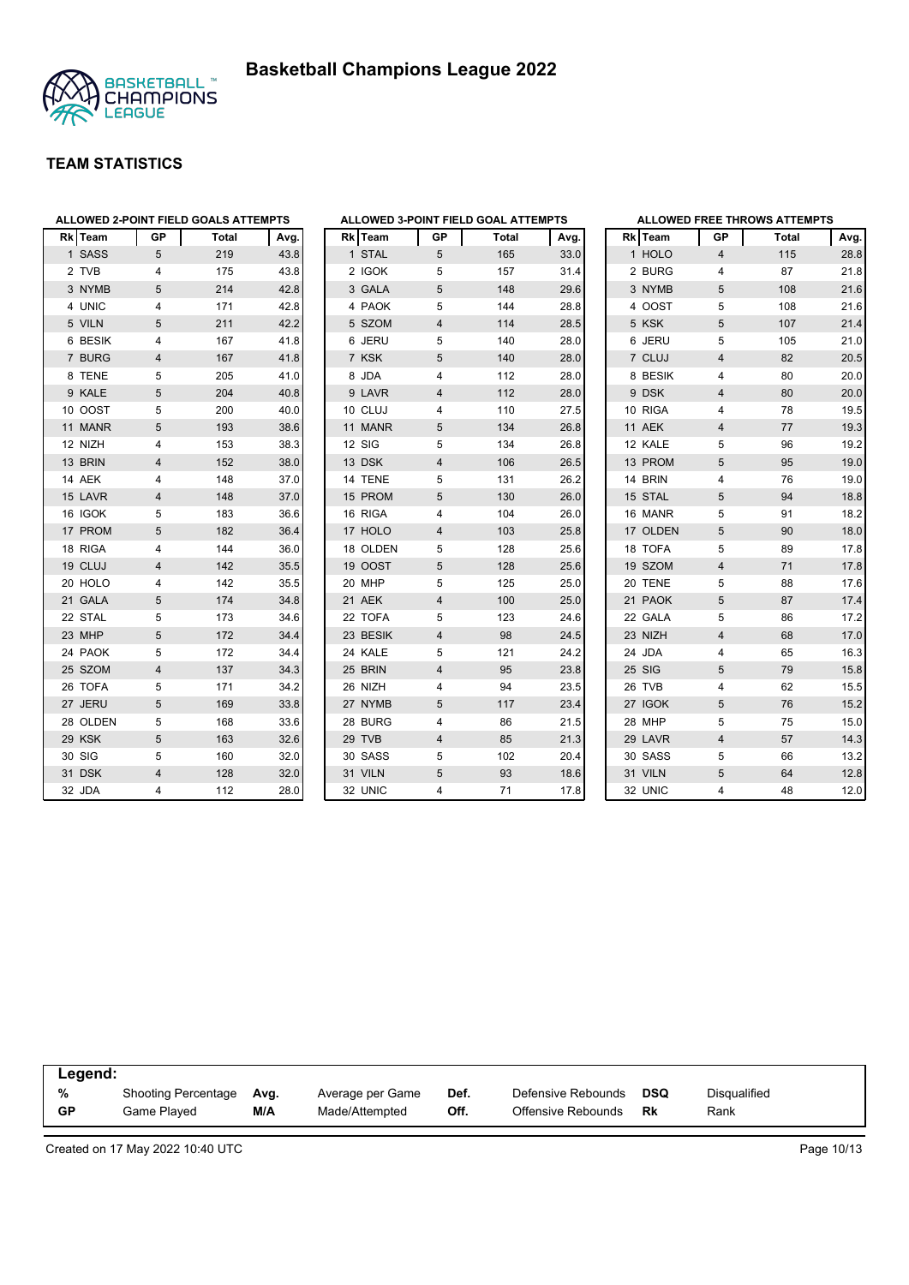



| ALLOWED 2-POINT FIELD GOALS ATTEMPTS |                |       |      | <b>ALLOWED 3-POINT FIELD GOAL ATTEMPTS</b> |                |       |      |          |                | <b>ALLOWED FREE THROWS ATTEMPTS</b> |      |
|--------------------------------------|----------------|-------|------|--------------------------------------------|----------------|-------|------|----------|----------------|-------------------------------------|------|
| Rk Team                              | GP             | Total | Avg. | Rk Team                                    | GP             | Total | Avg. | Rk Team  | GP             | Total                               | Avg. |
| 1 SASS                               | 5              | 219   | 43.8 | 1 STAL                                     | 5              | 165   | 33.0 | 1 HOLO   | $\overline{4}$ | 115                                 | 28.8 |
| 2 TVB                                | 4              | 175   | 43.8 | 2 IGOK                                     | 5              | 157   | 31.4 | 2 BURG   | $\overline{4}$ | 87                                  | 21.8 |
| 3 NYMB                               | 5              | 214   | 42.8 | 3 GALA                                     | 5              | 148   | 29.6 | 3 NYMB   | 5              | 108                                 | 21.6 |
| 4 UNIC                               | 4              | 171   | 42.8 | 4 PAOK                                     | 5              | 144   | 28.8 | 4 OOST   | 5              | 108                                 | 21.6 |
| 5 VILN                               | 5              | 211   | 42.2 | 5 SZOM                                     | $\overline{4}$ | 114   | 28.5 | 5 KSK    | 5              | 107                                 | 21.4 |
| 6 BESIK                              | 4              | 167   | 41.8 | 6 JERU                                     | 5              | 140   | 28.0 | 6 JERU   | 5              | 105                                 | 21.0 |
| 7 BURG                               | 4              | 167   | 41.8 | 7 KSK                                      | 5              | 140   | 28.0 | 7 CLUJ   | $\overline{4}$ | 82                                  | 20.5 |
| 8 TENE                               | 5              | 205   | 41.0 | 8 JDA                                      | 4              | 112   | 28.0 | 8 BESIK  | $\overline{4}$ | 80                                  | 20.0 |
| 9 KALE                               | 5              | 204   | 40.8 | 9 LAVR                                     | $\overline{4}$ | 112   | 28.0 | 9 DSK    | $\overline{4}$ | 80                                  | 20.0 |
| 10 OOST                              | 5              | 200   | 40.0 | 10 CLUJ                                    | 4              | 110   | 27.5 | 10 RIGA  | $\overline{4}$ | 78                                  | 19.5 |
| 11 MANR                              | 5              | 193   | 38.6 | 11 MANR                                    | 5              | 134   | 26.8 | 11 AEK   | $\overline{4}$ | 77                                  | 19.3 |
| 12 NIZH                              | 4              | 153   | 38.3 | <b>12 SIG</b>                              | 5              | 134   | 26.8 | 12 KALE  | 5              | 96                                  | 19.2 |
| 13 BRIN                              | 4              | 152   | 38.0 | 13 DSK                                     | $\overline{4}$ | 106   | 26.5 | 13 PROM  | 5              | 95                                  | 19.0 |
| 14 AEK                               | 4              | 148   | 37.0 | 14 TENE                                    | 5              | 131   | 26.2 | 14 BRIN  | $\overline{4}$ | 76                                  | 19.0 |
| 15 LAVR                              | 4              | 148   | 37.0 | 15 PROM                                    | 5              | 130   | 26.0 | 15 STAL  | 5              | 94                                  | 18.8 |
| 16 IGOK                              | 5              | 183   | 36.6 | 16 RIGA                                    | 4              | 104   | 26.0 | 16 MANR  | 5              | 91                                  | 18.2 |
| 17 PROM                              | 5              | 182   | 36.4 | 17 HOLO                                    | 4              | 103   | 25.8 | 17 OLDEN | 5              | 90                                  | 18.0 |
| 18 RIGA                              | 4              | 144   | 36.0 | 18 OLDEN                                   | 5              | 128   | 25.6 | 18 TOFA  | 5              | 89                                  | 17.8 |
| 19 CLUJ                              | 4              | 142   | 35.5 | 19 OOST                                    | 5              | 128   | 25.6 | 19 SZOM  | $\overline{4}$ | 71                                  | 17.8 |
| 20 HOLO                              | 4              | 142   | 35.5 | 20 MHP                                     | 5              | 125   | 25.0 | 20 TENE  | 5              | 88                                  | 17.6 |
| 21 GALA                              | 5              | 174   | 34.8 | 21 AEK                                     | $\overline{4}$ | 100   | 25.0 | 21 PAOK  | 5              | 87                                  | 17.4 |
| 22 STAL                              | 5              | 173   | 34.6 | 22 TOFA                                    | 5              | 123   | 24.6 | 22 GALA  | 5              | 86                                  | 17.2 |
| 23 MHP                               | 5              | 172   | 34.4 | 23 BESIK                                   | 4              | 98    | 24.5 | 23 NIZH  | $\overline{4}$ | 68                                  | 17.0 |
| 24 PAOK                              | 5              | 172   | 34.4 | 24 KALE                                    | 5              | 121   | 24.2 | 24 JDA   | 4              | 65                                  | 16.3 |
| 25 SZOM                              | $\overline{4}$ | 137   | 34.3 | 25 BRIN                                    | $\overline{4}$ | 95    | 23.8 | 25 SIG   | 5              | 79                                  | 15.8 |
| 26 TOFA                              | 5              | 171   | 34.2 | 26 NIZH                                    | 4              | 94    | 23.5 | 26 TVB   | $\overline{4}$ | 62                                  | 15.5 |
| 27 JERU                              | 5              | 169   | 33.8 | 27 NYMB                                    | 5              | 117   | 23.4 | 27 IGOK  | 5              | 76                                  | 15.2 |
| 28 OLDEN                             | 5              | 168   | 33.6 | 28 BURG                                    | 4              | 86    | 21.5 | 28 MHP   | 5              | 75                                  | 15.0 |
| 29 KSK                               | 5              | 163   | 32.6 | 29 TVB                                     | $\overline{4}$ | 85    | 21.3 | 29 LAVR  | $\overline{4}$ | 57                                  | 14.3 |
| 30 SIG                               | 5              | 160   | 32.0 | 30 SASS                                    | 5              | 102   | 20.4 | 30 SASS  | 5              | 66                                  | 13.2 |
| 31 DSK                               | 4              | 128   | 32.0 | 31 VILN                                    | 5              | 93    | 18.6 | 31 VILN  | 5              | 64                                  | 12.8 |
| 32 JDA                               | 4              | 112   | 28.0 | 32 UNIC                                    | 4              | 71    | 17.8 | 32 UNIC  | 4              | 48                                  | 12.0 |

| Legend:   |                     |      |                  |      |                    |     |              |
|-----------|---------------------|------|------------------|------|--------------------|-----|--------------|
| %         | Shooting Percentage | Avg. | Average per Game | Def. | Defensive Rebounds | DSQ | Disgualified |
| <b>GP</b> | Game Played         | M/A  | Made/Attempted   | Off. | Offensive Rebounds | Rk  | Rank         |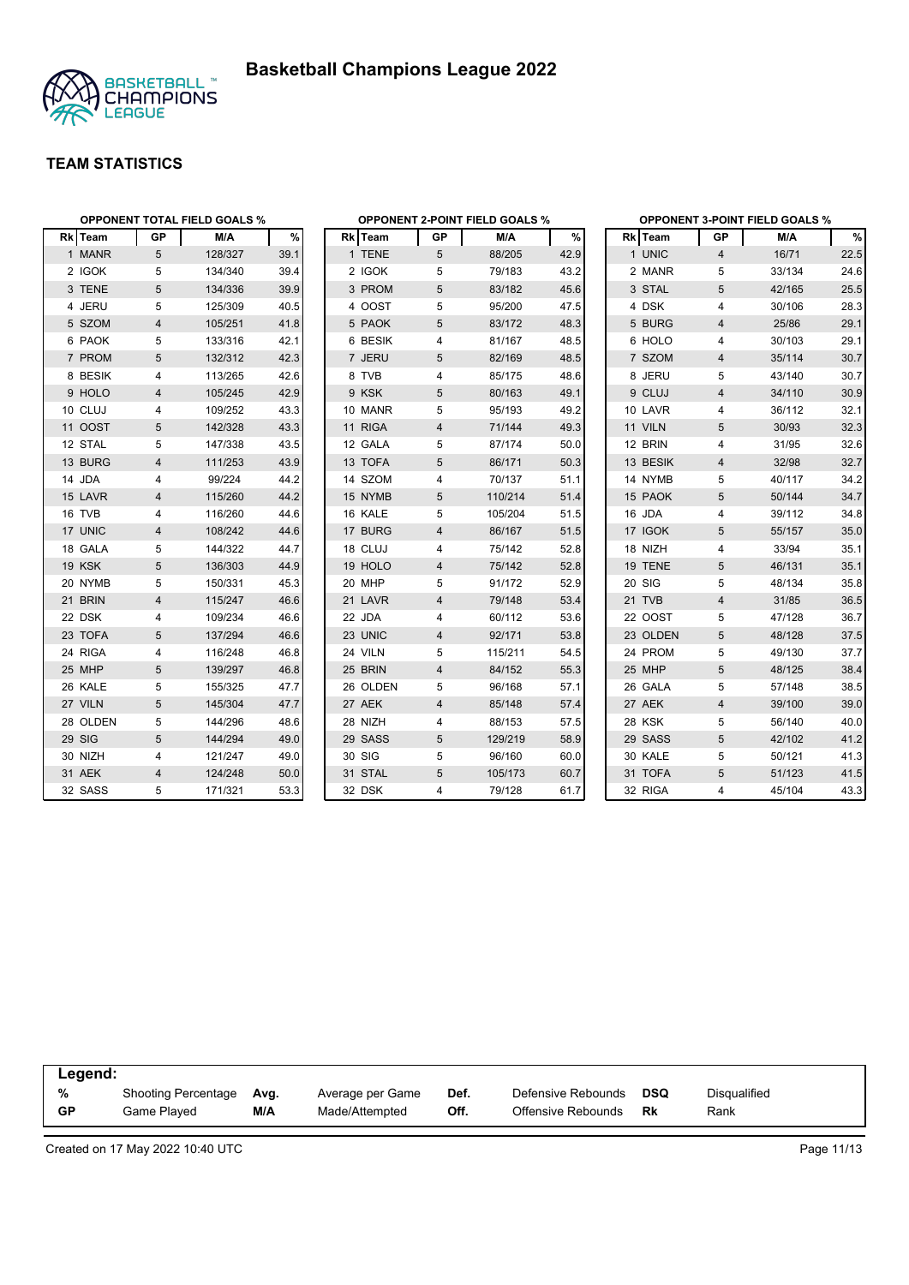



|          |                | <b>OPPONENT TOTAL FIELD GOALS %</b> |      |          |                | <b>OPPONENT 2-POINT FIELD GOALS %</b> |      |          |                | <b>OPPONENT 3-POINT FIELD GOALS %</b> |      |
|----------|----------------|-------------------------------------|------|----------|----------------|---------------------------------------|------|----------|----------------|---------------------------------------|------|
| Rk Team  | GP             | M/A                                 | %    | Rk Team  | GP             | M/A                                   | $\%$ | Rk Team  | GP             | M/A                                   | $\%$ |
| 1 MANR   | 5              | 128/327                             | 39.1 | 1 TENE   | 5              | 88/205                                | 42.9 | 1 UNIC   | $\overline{4}$ | 16/71                                 | 22.5 |
| 2 IGOK   | 5              | 134/340                             | 39.4 | 2 IGOK   | 5              | 79/183                                | 43.2 | 2 MANR   | 5              | 33/134                                | 24.6 |
| 3 TENE   | 5              | 134/336                             | 39.9 | 3 PROM   | 5              | 83/182                                | 45.6 | 3 STAL   | 5              | 42/165                                | 25.5 |
| 4 JERU   | 5              | 125/309                             | 40.5 | 4 OOST   | 5              | 95/200                                | 47.5 | 4 DSK    | 4              | 30/106                                | 28.3 |
| 5 SZOM   | 4              | 105/251                             | 41.8 | 5 PAOK   | 5              | 83/172                                | 48.3 | 5 BURG   | 4              | 25/86                                 | 29.1 |
| 6 PAOK   | 5              | 133/316                             | 42.1 | 6 BESIK  | 4              | 81/167                                | 48.5 | 6 HOLO   | 4              | 30/103                                | 29.1 |
| 7 PROM   | 5              | 132/312                             | 42.3 | 7 JERU   | 5              | 82/169                                | 48.5 | 7 SZOM   | 4              | 35/114                                | 30.7 |
| 8 BESIK  | 4              | 113/265                             | 42.6 | 8 TVB    | 4              | 85/175                                | 48.6 | 8 JERU   | 5              | 43/140                                | 30.7 |
| 9 HOLO   | 4              | 105/245                             | 42.9 | 9 KSK    | 5              | 80/163                                | 49.1 | 9 CLUJ   | $\overline{4}$ | 34/110                                | 30.9 |
| 10 CLUJ  | 4              | 109/252                             | 43.3 | 10 MANR  | 5              | 95/193                                | 49.2 | 10 LAVR  | 4              | 36/112                                | 32.1 |
| 11 OOST  | 5              | 142/328                             | 43.3 | 11 RIGA  | $\overline{4}$ | 71/144                                | 49.3 | 11 VILN  | 5              | 30/93                                 | 32.3 |
| 12 STAL  | 5              | 147/338                             | 43.5 | 12 GALA  | 5              | 87/174                                | 50.0 | 12 BRIN  | 4              | 31/95                                 | 32.6 |
| 13 BURG  | 4              | 111/253                             | 43.9 | 13 TOFA  | 5              | 86/171                                | 50.3 | 13 BESIK | $\overline{4}$ | 32/98                                 | 32.7 |
| 14 JDA   | 4              | 99/224                              | 44.2 | 14 SZOM  | 4              | 70/137                                | 51.1 | 14 NYMB  | 5              | 40/117                                | 34.2 |
| 15 LAVR  | $\overline{4}$ | 115/260                             | 44.2 | 15 NYMB  | 5              | 110/214                               | 51.4 | 15 PAOK  | 5              | 50/144                                | 34.7 |
| 16 TVB   | 4              | 116/260                             | 44.6 | 16 KALE  | 5              | 105/204                               | 51.5 | 16 JDA   | 4              | 39/112                                | 34.8 |
| 17 UNIC  | 4              | 108/242                             | 44.6 | 17 BURG  | 4              | 86/167                                | 51.5 | 17 IGOK  | 5              | 55/157                                | 35.0 |
| 18 GALA  | 5              | 144/322                             | 44.7 | 18 CLUJ  | 4              | 75/142                                | 52.8 | 18 NIZH  | 4              | 33/94                                 | 35.1 |
| 19 KSK   | 5              | 136/303                             | 44.9 | 19 HOLO  | 4              | 75/142                                | 52.8 | 19 TENE  | 5              | 46/131                                | 35.1 |
| 20 NYMB  | 5              | 150/331                             | 45.3 | 20 MHP   | 5              | 91/172                                | 52.9 | 20 SIG   | 5              | 48/134                                | 35.8 |
| 21 BRIN  | 4              | 115/247                             | 46.6 | 21 LAVR  | 4              | 79/148                                | 53.4 | 21 TVB   | $\overline{4}$ | 31/85                                 | 36.5 |
| 22 DSK   | 4              | 109/234                             | 46.6 | 22 JDA   | 4              | 60/112                                | 53.6 | 22 OOST  | 5              | 47/128                                | 36.7 |
| 23 TOFA  | 5              | 137/294                             | 46.6 | 23 UNIC  | 4              | 92/171                                | 53.8 | 23 OLDEN | 5              | 48/128                                | 37.5 |
| 24 RIGA  | 4              | 116/248                             | 46.8 | 24 VILN  | 5              | 115/211                               | 54.5 | 24 PROM  | 5              | 49/130                                | 37.7 |
| 25 MHP   | 5              | 139/297                             | 46.8 | 25 BRIN  | 4              | 84/152                                | 55.3 | 25 MHP   | 5              | 48/125                                | 38.4 |
| 26 KALE  | 5              | 155/325                             | 47.7 | 26 OLDEN | 5              | 96/168                                | 57.1 | 26 GALA  | 5              | 57/148                                | 38.5 |
| 27 VILN  | $\sqrt{5}$     | 145/304                             | 47.7 | 27 AEK   | 4              | 85/148                                | 57.4 | 27 AEK   | $\overline{4}$ | 39/100                                | 39.0 |
| 28 OLDEN | 5              | 144/296                             | 48.6 | 28 NIZH  | 4              | 88/153                                | 57.5 | 28 KSK   | 5              | 56/140                                | 40.0 |
| 29 SIG   | 5              | 144/294                             | 49.0 | 29 SASS  | 5              | 129/219                               | 58.9 | 29 SASS  | 5              | 42/102                                | 41.2 |
| 30 NIZH  | 4              | 121/247                             | 49.0 | 30 SIG   | 5              | 96/160                                | 60.0 | 30 KALE  | 5              | 50/121                                | 41.3 |
| 31 AEK   | $\overline{4}$ | 124/248                             | 50.0 | 31 STAL  | 5              | 105/173                               | 60.7 | 31 TOFA  | 5              | 51/123                                | 41.5 |
| 32 SASS  | 5              | 171/321                             | 53.3 | 32 DSK   | 4              | 79/128                                | 61.7 | 32 RIGA  | $\overline{4}$ | 45/104                                | 43.3 |

| Legend: |                     |      |                  |      |                    |            |              |
|---------|---------------------|------|------------------|------|--------------------|------------|--------------|
| %       | Shooting Percentage | Avg. | Average per Game | Def. | Defensive Rebounds | <b>DSQ</b> | Disgualified |
| GP      | Game Plaved         | M/A  | Made/Attempted   | Off. | Offensive Rebounds | Rk         | Rank         |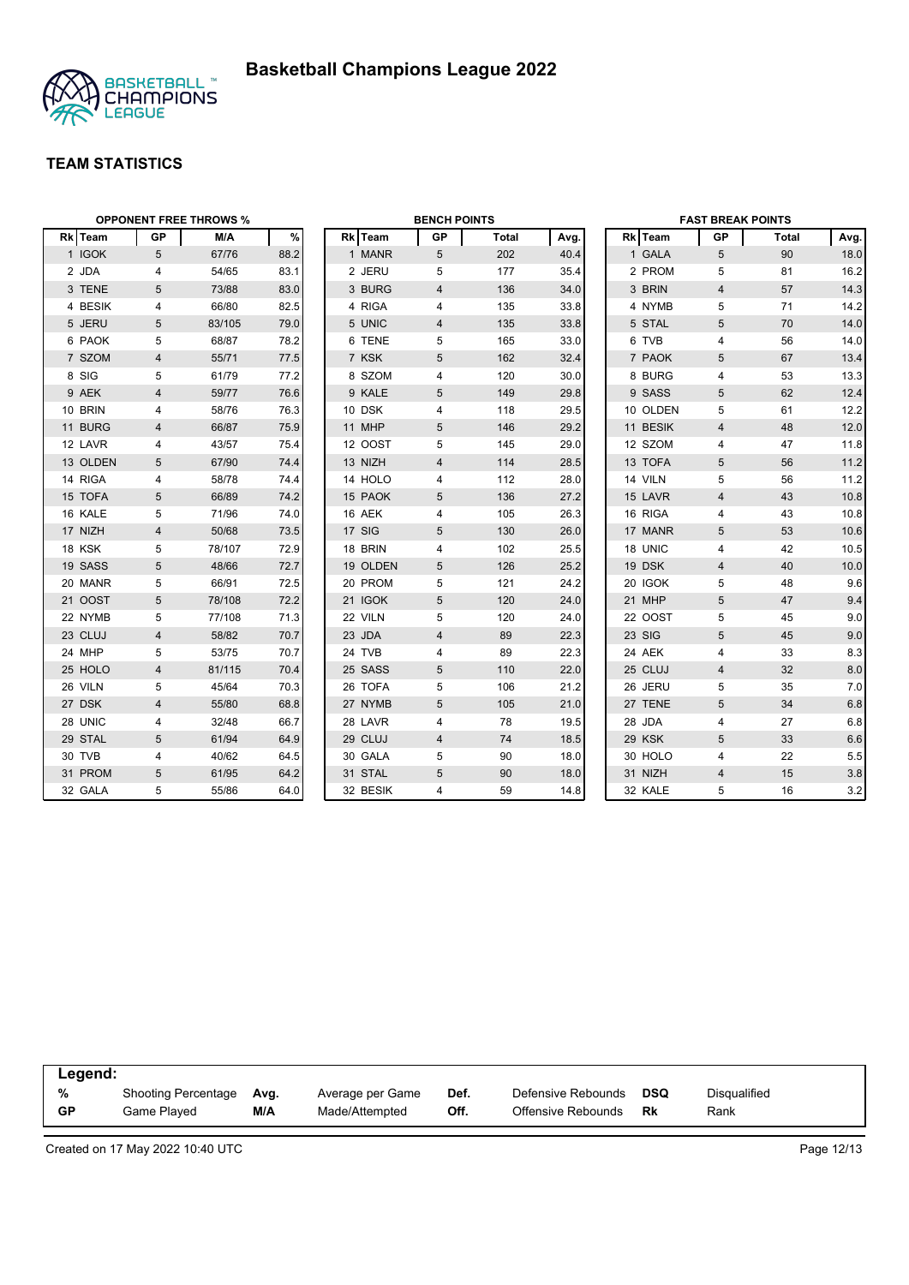



|          |                 | <b>OPPONENT FREE THROWS %</b> |      |          | <b>BENCH POINTS</b> |              |      |          | <b>FAST BREAK POINTS</b> |       |      |
|----------|-----------------|-------------------------------|------|----------|---------------------|--------------|------|----------|--------------------------|-------|------|
| Rk Team  | <b>GP</b>       | M/A                           | $\%$ | Rk Team  | GP                  | <b>Total</b> | Avg. | Rk Team  | <b>GP</b>                | Total | Avg. |
| 1 IGOK   | $5\overline{)}$ | 67/76                         | 88.2 | 1 MANR   | 5                   | 202          | 40.4 | 1 GALA   | 5                        | 90    | 18.0 |
| 2 JDA    | 4               | 54/65                         | 83.1 | 2 JERU   | 5                   | 177          | 35.4 | 2 PROM   | 5                        | 81    | 16.2 |
| 3 TENE   | 5               | 73/88                         | 83.0 | 3 BURG   | 4                   | 136          | 34.0 | 3 BRIN   | $\overline{4}$           | 57    | 14.3 |
| 4 BESIK  | 4               | 66/80                         | 82.5 | 4 RIGA   | 4                   | 135          | 33.8 | 4 NYMB   | 5                        | 71    | 14.2 |
| 5 JERU   | 5               | 83/105                        | 79.0 | 5 UNIC   | 4                   | 135          | 33.8 | 5 STAL   | 5                        | 70    | 14.0 |
| 6 PAOK   | 5               | 68/87                         | 78.2 | 6 TENE   | 5                   | 165          | 33.0 | 6 TVB    | 4                        | 56    | 14.0 |
| 7 SZOM   | 4               | 55/71                         | 77.5 | 7 KSK    | 5                   | 162          | 32.4 | 7 PAOK   | 5                        | 67    | 13.4 |
| 8 SIG    | 5               | 61/79                         | 77.2 | 8 SZOM   | 4                   | 120          | 30.0 | 8 BURG   | 4                        | 53    | 13.3 |
| 9 AEK    | 4               | 59/77                         | 76.6 | 9 KALE   | 5                   | 149          | 29.8 | 9 SASS   | 5                        | 62    | 12.4 |
| 10 BRIN  | 4               | 58/76                         | 76.3 | 10 DSK   | 4                   | 118          | 29.5 | 10 OLDEN | 5                        | 61    | 12.2 |
| 11 BURG  | 4               | 66/87                         | 75.9 | 11 MHP   | 5                   | 146          | 29.2 | 11 BESIK | $\overline{4}$           | 48    | 12.0 |
| 12 LAVR  | 4               | 43/57                         | 75.4 | 12 OOST  | 5                   | 145          | 29.0 | 12 SZOM  | 4                        | 47    | 11.8 |
| 13 OLDEN | 5               | 67/90                         | 74.4 | 13 NIZH  | 4                   | 114          | 28.5 | 13 TOFA  | 5                        | 56    | 11.2 |
| 14 RIGA  | 4               | 58/78                         | 74.4 | 14 HOLO  | 4                   | 112          | 28.0 | 14 VILN  | 5                        | 56    | 11.2 |
| 15 TOFA  | 5               | 66/89                         | 74.2 | 15 PAOK  | 5                   | 136          | 27.2 | 15 LAVR  | $\overline{4}$           | 43    | 10.8 |
| 16 KALE  | 5               | 71/96                         | 74.0 | 16 AEK   | 4                   | 105          | 26.3 | 16 RIGA  | 4                        | 43    | 10.8 |
| 17 NIZH  | $\overline{4}$  | 50/68                         | 73.5 | 17 SIG   | 5                   | 130          | 26.0 | 17 MANR  | 5                        | 53    | 10.6 |
| 18 KSK   | 5               | 78/107                        | 72.9 | 18 BRIN  | 4                   | 102          | 25.5 | 18 UNIC  | 4                        | 42    | 10.5 |
| 19 SASS  | 5               | 48/66                         | 72.7 | 19 OLDEN | 5                   | 126          | 25.2 | 19 DSK   | $\overline{4}$           | 40    | 10.0 |
| 20 MANR  | 5               | 66/91                         | 72.5 | 20 PROM  | 5                   | 121          | 24.2 | 20 IGOK  | 5                        | 48    | 9.6  |
| 21 OOST  | 5               | 78/108                        | 72.2 | 21 IGOK  | 5                   | 120          | 24.0 | 21 MHP   | 5                        | 47    | 9.4  |
| 22 NYMB  | 5               | 77/108                        | 71.3 | 22 VILN  | 5                   | 120          | 24.0 | 22 OOST  | 5                        | 45    | 9.0  |
| 23 CLUJ  | 4               | 58/82                         | 70.7 | 23 JDA   | $\overline{4}$      | 89           | 22.3 | 23 SIG   | 5                        | 45    | 9.0  |
| 24 MHP   | 5               | 53/75                         | 70.7 | 24 TVB   | 4                   | 89           | 22.3 | 24 AEK   | $\overline{4}$           | 33    | 8.3  |
| 25 HOLO  | 4               | 81/115                        | 70.4 | 25 SASS  | 5                   | 110          | 22.0 | 25 CLUJ  | $\overline{4}$           | 32    | 8.0  |
| 26 VILN  | 5               | 45/64                         | 70.3 | 26 TOFA  | 5                   | 106          | 21.2 | 26 JERU  | 5                        | 35    | 7.0  |
| 27 DSK   | $\overline{4}$  | 55/80                         | 68.8 | 27 NYMB  | 5                   | 105          | 21.0 | 27 TENE  | 5                        | 34    | 6.8  |
| 28 UNIC  | 4               | 32/48                         | 66.7 | 28 LAVR  | 4                   | 78           | 19.5 | 28 JDA   | 4                        | 27    | 6.8  |
| 29 STAL  | 5               | 61/94                         | 64.9 | 29 CLUJ  | 4                   | 74           | 18.5 | 29 KSK   | 5                        | 33    | 6.6  |
| 30 TVB   | 4               | 40/62                         | 64.5 | 30 GALA  | 5                   | 90           | 18.0 | 30 HOLO  | 4                        | 22    | 5.5  |
| 31 PROM  | 5               | 61/95                         | 64.2 | 31 STAL  | 5                   | 90           | 18.0 | 31 NIZH  | $\overline{4}$           | 15    | 3.8  |
| 32 GALA  | 5               | 55/86                         | 64.0 | 32 BESIK | 4                   | 59           | 14.8 | 32 KALE  | 5                        | 16    | 3.2  |

| Legend:   |                     |      |                  |      |                    |            |              |  |
|-----------|---------------------|------|------------------|------|--------------------|------------|--------------|--|
| %         | Shooting Percentage | Avg. | Average per Game | Def. | Defensive Rebounds | <b>DSQ</b> | Disqualified |  |
| <b>GP</b> | Game Played         | M/A  | Made/Attempted   | Off. | Offensive Rebounds | Rk         | Rank         |  |